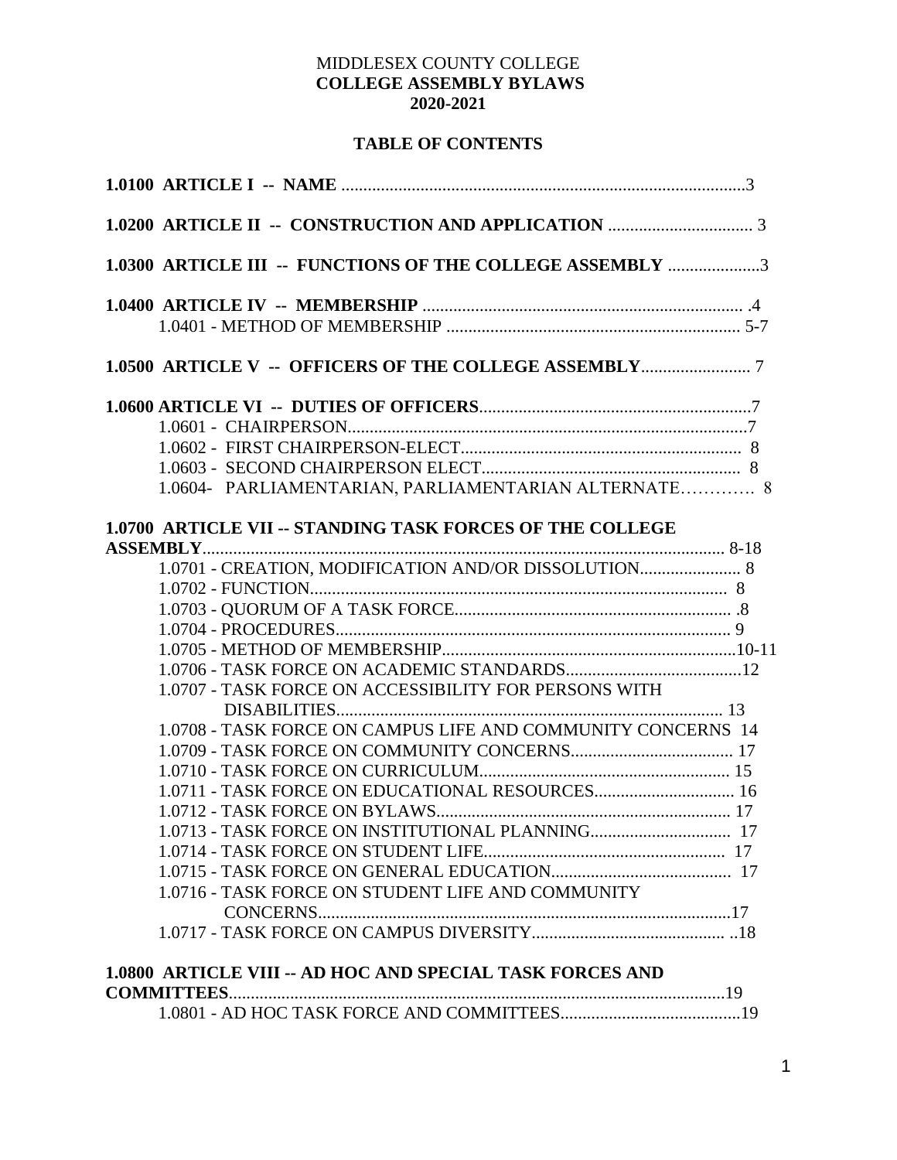### MIDDLESEX COUNTY COLLEGE **COLLEGE ASSEMBLY BYLAWS 2020-2021**

### **TABLE OF CONTENTS**

| 1.0300 ARTICLE III -- FUNCTIONS OF THE COLLEGE ASSEMBLY 3        |
|------------------------------------------------------------------|
|                                                                  |
|                                                                  |
|                                                                  |
|                                                                  |
|                                                                  |
|                                                                  |
|                                                                  |
| 1.0604- PARLIAMENTARIAN, PARLIAMENTARIAN ALTERNATE 8             |
| <b>1.0700 ARTICLE VII -- STANDING TASK FORCES OF THE COLLEGE</b> |
| 1.0701 - CREATION, MODIFICATION AND/OR DISSOLUTION 8             |
|                                                                  |
|                                                                  |
|                                                                  |
|                                                                  |
|                                                                  |
| 1.0707 - TASK FORCE ON ACCESSIBILITY FOR PERSONS WITH            |
|                                                                  |
| 1.0708 - TASK FORCE ON CAMPUS LIFE AND COMMUNITY CONCERNS 14     |
|                                                                  |
|                                                                  |
|                                                                  |
|                                                                  |
|                                                                  |
|                                                                  |
|                                                                  |
| 1.0716 - TASK FORCE ON STUDENT LIFE AND COMMUNITY                |
|                                                                  |
|                                                                  |
| <b>1.0800 ARTICLE VIII -- AD HOC AND SPECIAL TASK FORCES AND</b> |
|                                                                  |
|                                                                  |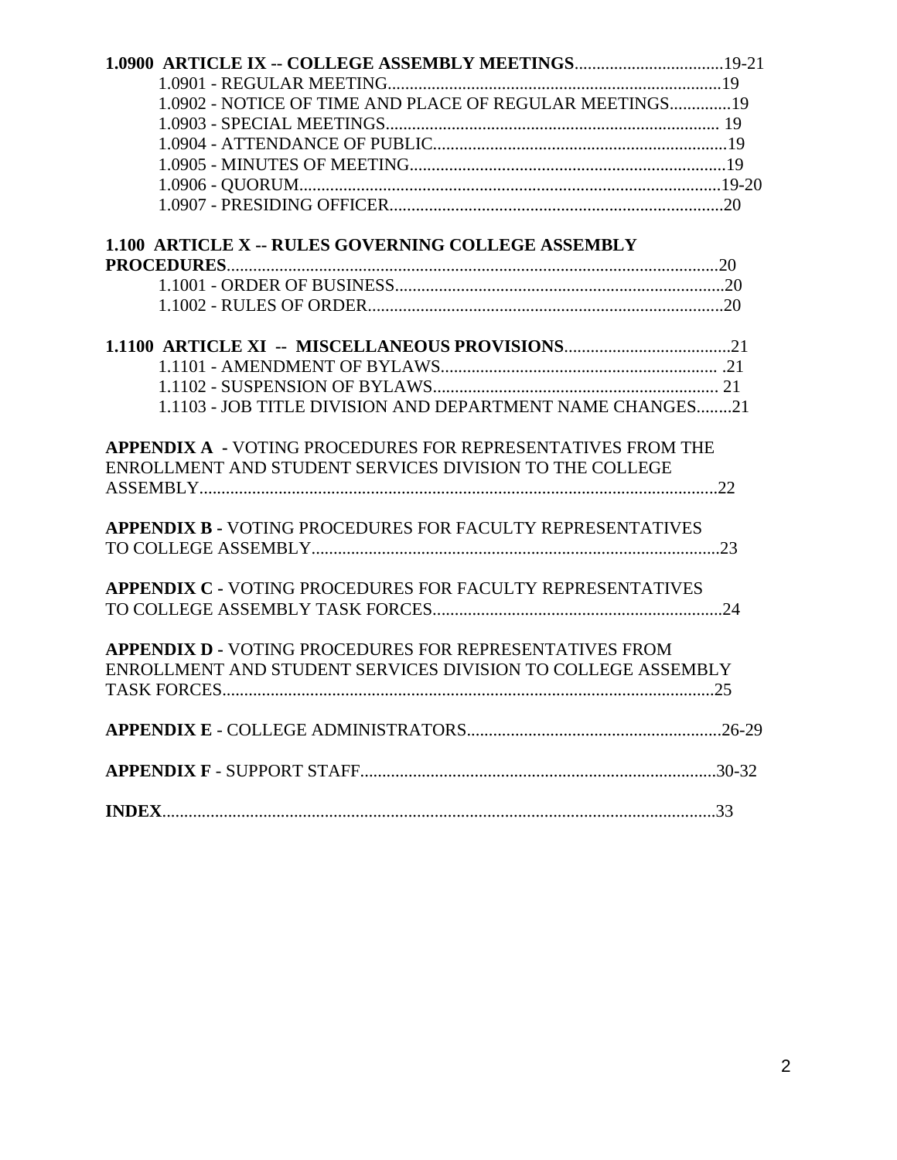| 1.0900 ARTICLE IX -- COLLEGE ASSEMBLY MEETINGS 19-21               |  |
|--------------------------------------------------------------------|--|
|                                                                    |  |
| 1.0902 - NOTICE OF TIME AND PLACE OF REGULAR MEETINGS 19           |  |
|                                                                    |  |
|                                                                    |  |
|                                                                    |  |
|                                                                    |  |
|                                                                    |  |
| <b>1.100 ARTICLE X -- RULES GOVERNING COLLEGE ASSEMBLY</b>         |  |
|                                                                    |  |
|                                                                    |  |
|                                                                    |  |
|                                                                    |  |
|                                                                    |  |
|                                                                    |  |
| 1.1103 - JOB TITLE DIVISION AND DEPARTMENT NAME CHANGES21          |  |
| <b>APPENDIX A - VOTING PROCEDURES FOR REPRESENTATIVES FROM THE</b> |  |
| ENROLLMENT AND STUDENT SERVICES DIVISION TO THE COLLEGE            |  |
|                                                                    |  |
| <b>APPENDIX B - VOTING PROCEDURES FOR FACULTY REPRESENTATIVES</b>  |  |
|                                                                    |  |
| <b>APPENDIX C - VOTING PROCEDURES FOR FACULTY REPRESENTATIVES</b>  |  |
|                                                                    |  |
| <b>APPENDIX D - VOTING PROCEDURES FOR REPRESENTATIVES FROM</b>     |  |
| ENROLLMENT AND STUDENT SERVICES DIVISION TO COLLEGE ASSEMBLY       |  |
|                                                                    |  |
|                                                                    |  |
|                                                                    |  |
|                                                                    |  |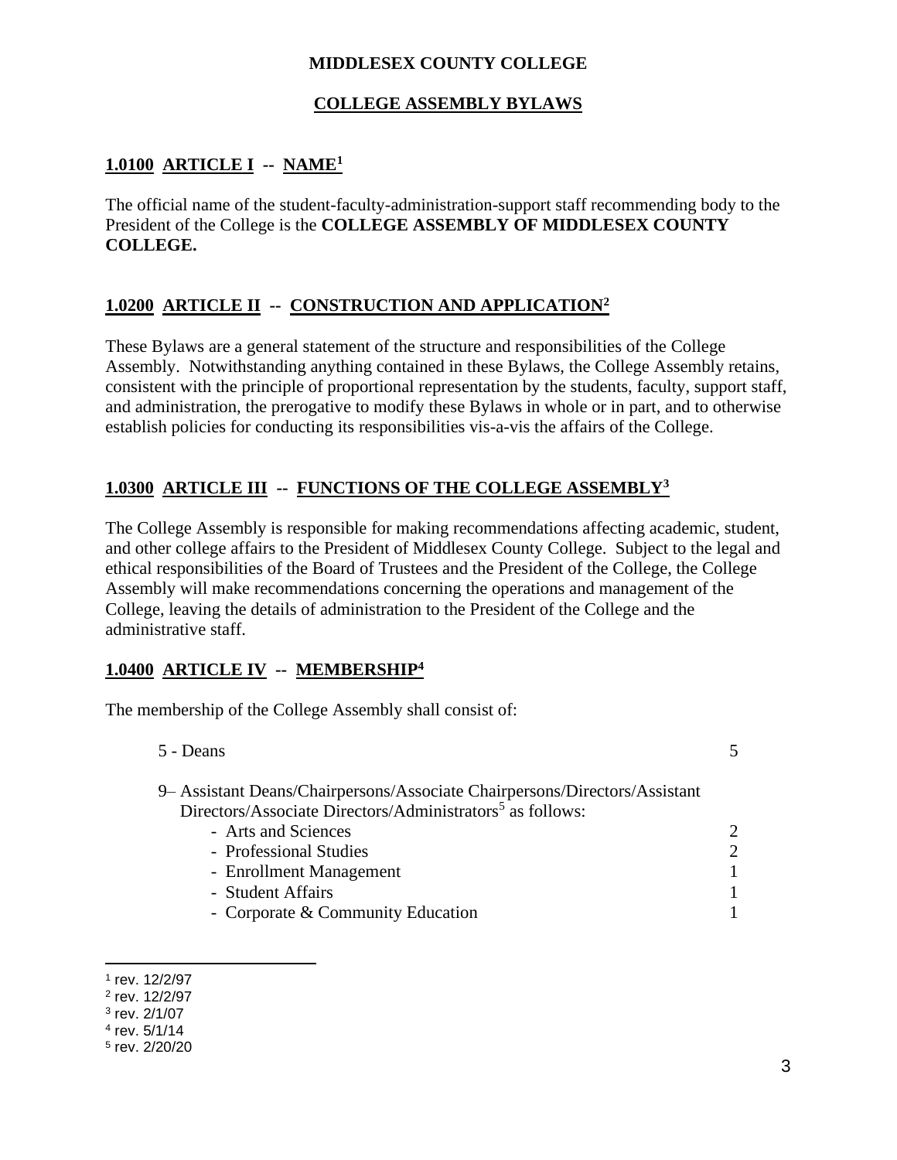#### **MIDDLESEX COUNTY COLLEGE**

#### **COLLEGE ASSEMBLY BYLAWS**

## **1.0100 ARTICLE I -- NAME<sup>1</sup>**

The official name of the student-faculty-administration-support staff recommending body to the President of the College is the **COLLEGE ASSEMBLY OF MIDDLESEX COUNTY COLLEGE.**

### **1.0200 ARTICLE II -- CONSTRUCTION AND APPLICATION<sup>2</sup>**

These Bylaws are a general statement of the structure and responsibilities of the College Assembly. Notwithstanding anything contained in these Bylaws, the College Assembly retains, consistent with the principle of proportional representation by the students, faculty, support staff, and administration, the prerogative to modify these Bylaws in whole or in part, and to otherwise establish policies for conducting its responsibilities vis-a-vis the affairs of the College.

### **1.0300 ARTICLE III -- FUNCTIONS OF THE COLLEGE ASSEMBLY<sup>3</sup>**

The College Assembly is responsible for making recommendations affecting academic, student, and other college affairs to the President of Middlesex County College. Subject to the legal and ethical responsibilities of the Board of Trustees and the President of the College, the College Assembly will make recommendations concerning the operations and management of the College, leaving the details of administration to the President of the College and the administrative staff.

#### **1.0400 ARTICLE IV -- MEMBERSHIP<sup>4</sup>**

The membership of the College Assembly shall consist of:

| 5 - Deans                                                                 |                             |
|---------------------------------------------------------------------------|-----------------------------|
| 9 Assistant Deans/Chairpersons/Associate Chairpersons/Directors/Assistant |                             |
| Directors/Associate Directors/Administrators <sup>5</sup> as follows:     |                             |
| - Arts and Sciences                                                       | $\mathcal{D}_{\cdot}$       |
| - Professional Studies                                                    | $\mathcal{D}_{\mathcal{L}}$ |
| - Enrollment Management                                                   |                             |
| - Student Affairs                                                         |                             |
| - Corporate & Community Education                                         |                             |
|                                                                           |                             |

<sup>1</sup> rev. 12/2/97

<sup>2</sup> rev. 12/2/97

<sup>3</sup> rev. 2/1/07

<sup>4</sup> rev. 5/1/14

<sup>5</sup> rev. 2/20/20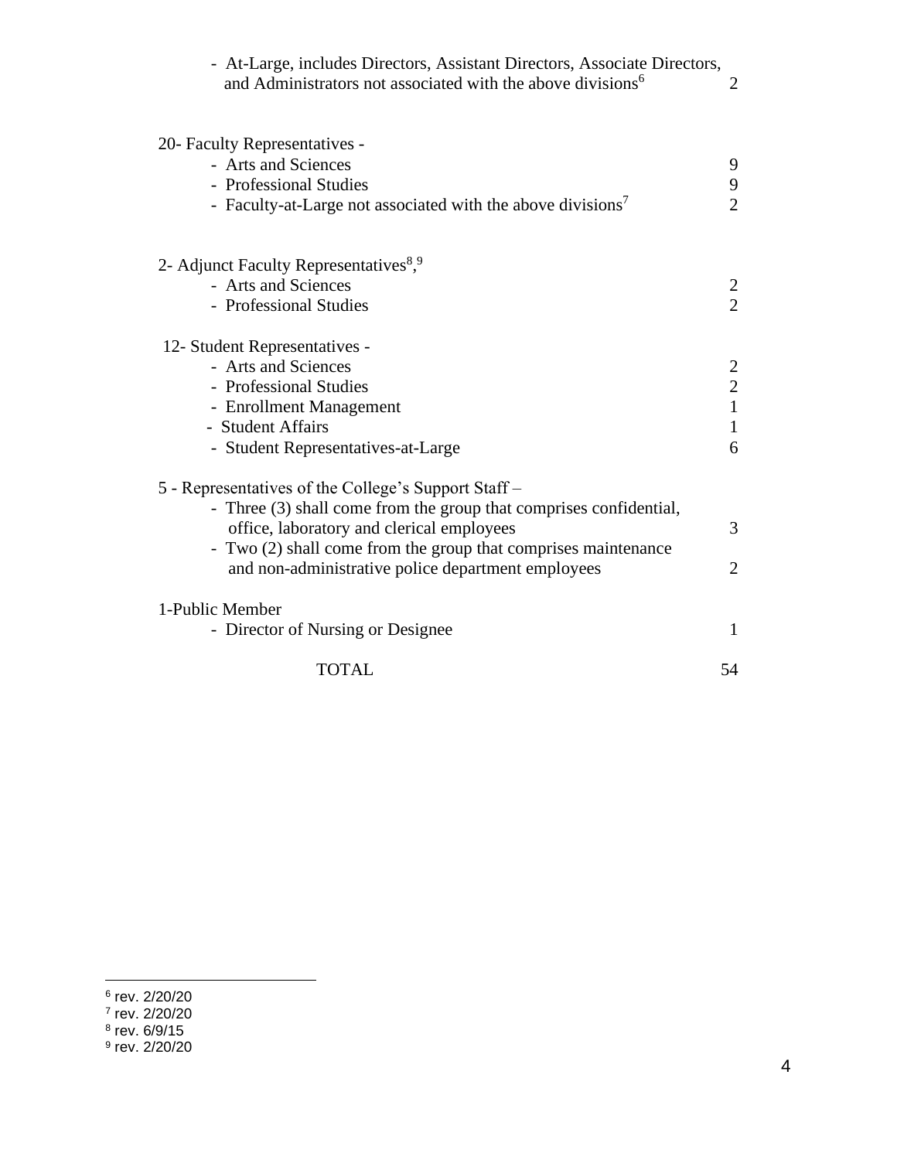| - At-Large, includes Directors, Assistant Directors, Associate Directors,<br>and Administrators not associated with the above divisions <sup>6</sup> | $\overline{2}$                             |
|------------------------------------------------------------------------------------------------------------------------------------------------------|--------------------------------------------|
| 20- Faculty Representatives -<br>- Arts and Sciences                                                                                                 | 9                                          |
| - Professional Studies                                                                                                                               | 9                                          |
| - Faculty-at-Large not associated with the above divisions <sup>7</sup>                                                                              | $\overline{2}$                             |
| 2- Adjunct Faculty Representatives <sup>8,9</sup>                                                                                                    |                                            |
| - Arts and Sciences                                                                                                                                  | $\overline{2}$                             |
| - Professional Studies                                                                                                                               | $\overline{2}$                             |
| 12- Student Representatives -                                                                                                                        |                                            |
| - Arts and Sciences                                                                                                                                  |                                            |
| - Professional Studies                                                                                                                               | $\begin{array}{c} 2 \\ 2 \\ 1 \end{array}$ |
| - Enrollment Management                                                                                                                              |                                            |
| - Student Affairs                                                                                                                                    | $\mathbf{1}$                               |
| - Student Representatives-at-Large                                                                                                                   | 6                                          |
| 5 - Representatives of the College's Support Staff -                                                                                                 |                                            |
| - Three (3) shall come from the group that comprises confidential,                                                                                   |                                            |
| office, laboratory and clerical employees                                                                                                            | 3                                          |
| - Two (2) shall come from the group that comprises maintenance                                                                                       |                                            |
| and non-administrative police department employees                                                                                                   | $\overline{2}$                             |
| 1-Public Member                                                                                                                                      |                                            |
| - Director of Nursing or Designee                                                                                                                    | 1                                          |
| <b>TOTAL</b>                                                                                                                                         | 54                                         |

<sup>&</sup>lt;sup>6</sup> rev. 2/20/20<br><sup>7</sup> rev. 2/20/20<br><sup>8</sup> rev. 6/9/15<br><sup>9</sup> rev. 2/20/20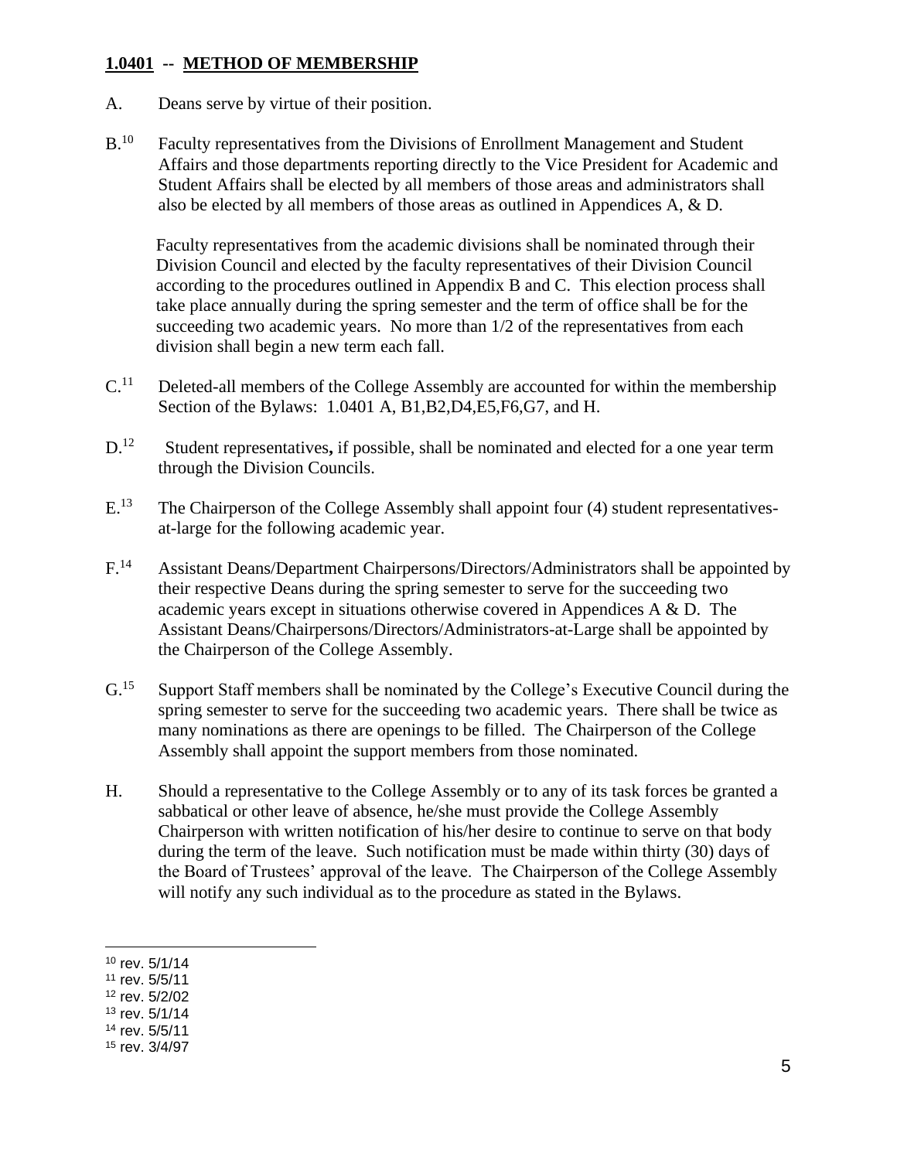### **1.0401 -- METHOD OF MEMBERSHIP**

- A. Deans serve by virtue of their position.
- $B.$ <sup>10</sup> Faculty representatives from the Divisions of Enrollment Management and Student Affairs and those departments reporting directly to the Vice President for Academic and Student Affairs shall be elected by all members of those areas and administrators shall also be elected by all members of those areas as outlined in Appendices A, & D.

Faculty representatives from the academic divisions shall be nominated through their Division Council and elected by the faculty representatives of their Division Council according to the procedures outlined in Appendix B and C. This election process shall take place annually during the spring semester and the term of office shall be for the succeeding two academic years. No more than  $1/2$  of the representatives from each division shall begin a new term each fall.

- $C<sup>11</sup>$  Deleted-all members of the College Assembly are accounted for within the membership Section of the Bylaws: 1.0401 A, B1,B2,D4,E5,F6,G7, and H.
- $D<sup>12</sup>$  Student representatives**,** if possible, shall be nominated and elected for a one year term through the Division Councils.
- $E<sup>13</sup>$  The Chairperson of the College Assembly shall appoint four (4) student representativesat-large for the following academic year.
- F.<sup>14</sup> Assistant Deans/Department Chairpersons/Directors/Administrators shall be appointed by their respective Deans during the spring semester to serve for the succeeding two academic years except in situations otherwise covered in Appendices A & D. The Assistant Deans/Chairpersons/Directors/Administrators-at-Large shall be appointed by the Chairperson of the College Assembly.
- G.<sup>15</sup> Support Staff members shall be nominated by the College's Executive Council during the spring semester to serve for the succeeding two academic years. There shall be twice as many nominations as there are openings to be filled. The Chairperson of the College Assembly shall appoint the support members from those nominated.
- H. Should a representative to the College Assembly or to any of its task forces be granted a sabbatical or other leave of absence, he/she must provide the College Assembly Chairperson with written notification of his/her desire to continue to serve on that body during the term of the leave. Such notification must be made within thirty (30) days of the Board of Trustees' approval of the leave. The Chairperson of the College Assembly will notify any such individual as to the procedure as stated in the Bylaws.

<sup>10</sup> rev. 5/1/14

<sup>11</sup> rev. 5/5/11

<sup>12</sup> rev. 5/2/02

<sup>13</sup> rev. 5/1/14

<sup>14</sup> rev. 5/5/11

<sup>15</sup> rev. 3/4/97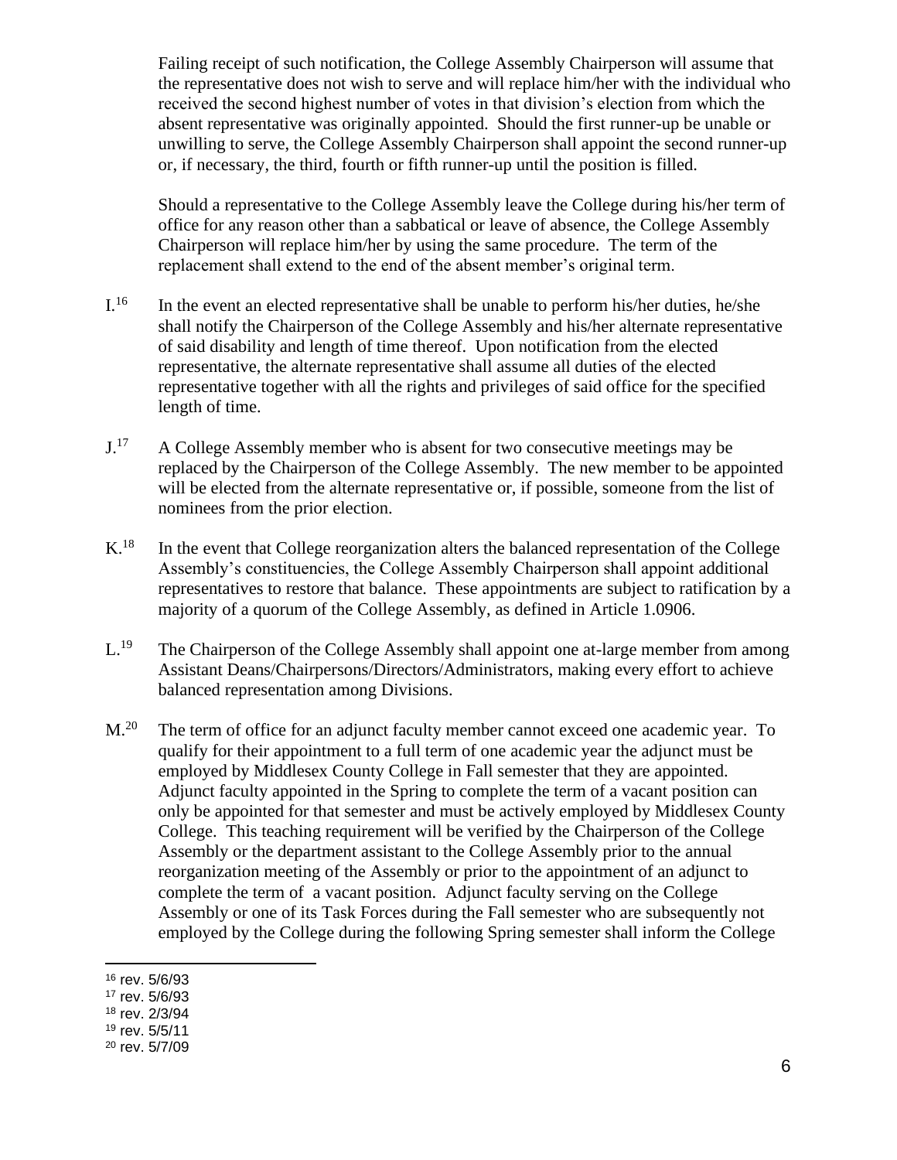Failing receipt of such notification, the College Assembly Chairperson will assume that the representative does not wish to serve and will replace him/her with the individual who received the second highest number of votes in that division's election from which the absent representative was originally appointed. Should the first runner-up be unable or unwilling to serve, the College Assembly Chairperson shall appoint the second runner-up or, if necessary, the third, fourth or fifth runner-up until the position is filled.

Should a representative to the College Assembly leave the College during his/her term of office for any reason other than a sabbatical or leave of absence, the College Assembly Chairperson will replace him/her by using the same procedure. The term of the replacement shall extend to the end of the absent member's original term.

- $I^{16}$  In the event an elected representative shall be unable to perform his/her duties, he/she shall notify the Chairperson of the College Assembly and his/her alternate representative of said disability and length of time thereof. Upon notification from the elected representative, the alternate representative shall assume all duties of the elected representative together with all the rights and privileges of said office for the specified length of time.
- $J^{17}$  A College Assembly member who is absent for two consecutive meetings may be replaced by the Chairperson of the College Assembly. The new member to be appointed will be elected from the alternate representative or, if possible, someone from the list of nominees from the prior election.
- $K<sup>18</sup>$  In the event that College reorganization alters the balanced representation of the College Assembly's constituencies, the College Assembly Chairperson shall appoint additional representatives to restore that balance. These appointments are subject to ratification by a majority of a quorum of the College Assembly, as defined in Article 1.0906.
- L.<sup>19</sup> The Chairperson of the College Assembly shall appoint one at-large member from among Assistant Deans/Chairpersons/Directors/Administrators, making every effort to achieve balanced representation among Divisions.
- M.<sup>20</sup> The term of office for an adjunct faculty member cannot exceed one academic year. To qualify for their appointment to a full term of one academic year the adjunct must be employed by Middlesex County College in Fall semester that they are appointed. Adjunct faculty appointed in the Spring to complete the term of a vacant position can only be appointed for that semester and must be actively employed by Middlesex County College. This teaching requirement will be verified by the Chairperson of the College Assembly or the department assistant to the College Assembly prior to the annual reorganization meeting of the Assembly or prior to the appointment of an adjunct to complete the term of a vacant position. Adjunct faculty serving on the College Assembly or one of its Task Forces during the Fall semester who are subsequently not employed by the College during the following Spring semester shall inform the College

<sup>16</sup> rev. 5/6/93

<sup>17</sup> rev. 5/6/93

<sup>18</sup> rev. 2/3/94

<sup>19</sup> rev. 5/5/11

<sup>20</sup> rev. 5/7/09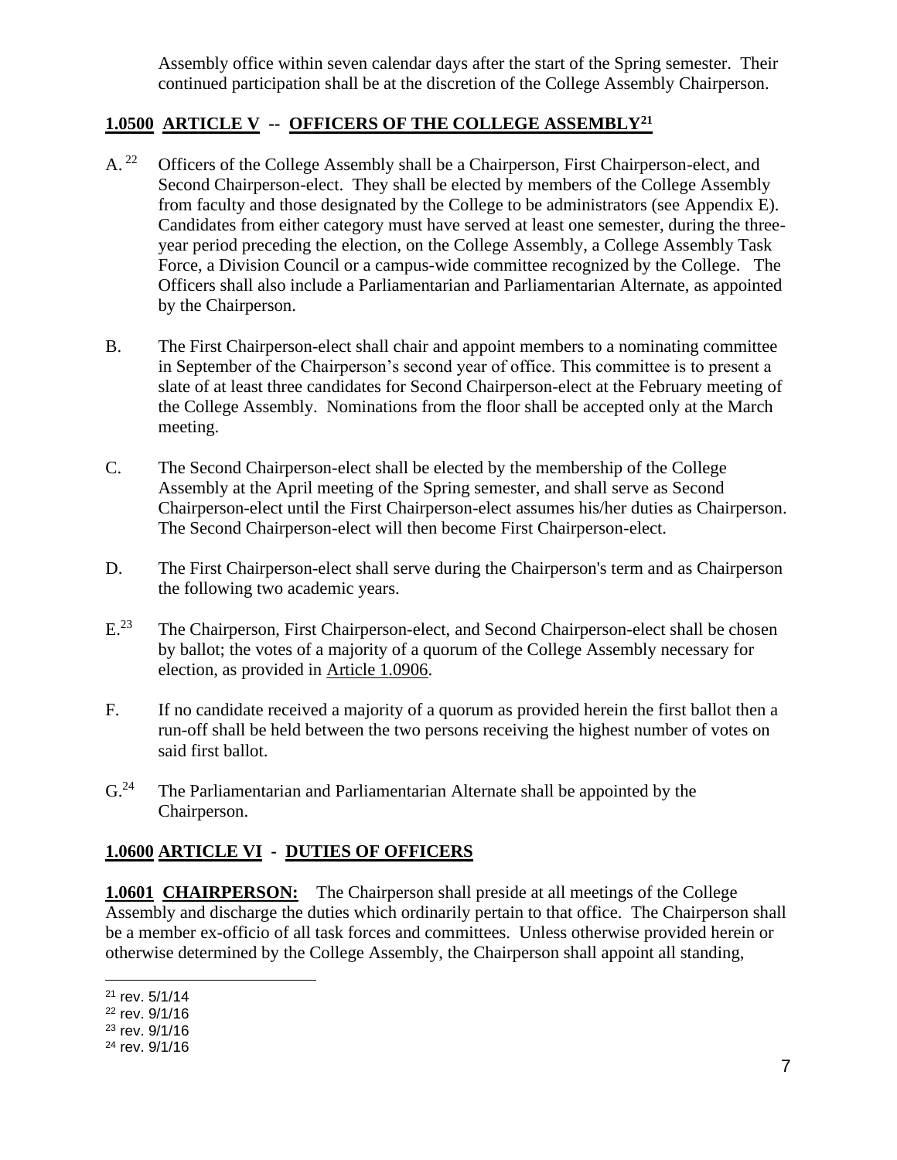Assembly office within seven calendar days after the start of the Spring semester. Their continued participation shall be at the discretion of the College Assembly Chairperson.

### **1.0500 ARTICLE V -- OFFICERS OF THE COLLEGE ASSEMBLY<sup>21</sup>**

- A.<sup>22</sup> Officers of the College Assembly shall be a Chairperson, First Chairperson-elect, and Second Chairperson-elect. They shall be elected by members of the College Assembly from faculty and those designated by the College to be administrators (see Appendix E). Candidates from either category must have served at least one semester, during the threeyear period preceding the election, on the College Assembly, a College Assembly Task Force, a Division Council or a campus-wide committee recognized by the College. The Officers shall also include a Parliamentarian and Parliamentarian Alternate, as appointed by the Chairperson.
- B. The First Chairperson-elect shall chair and appoint members to a nominating committee in September of the Chairperson's second year of office. This committee is to present a slate of at least three candidates for Second Chairperson-elect at the February meeting of the College Assembly. Nominations from the floor shall be accepted only at the March meeting.
- C. The Second Chairperson-elect shall be elected by the membership of the College Assembly at the April meeting of the Spring semester, and shall serve as Second Chairperson-elect until the First Chairperson-elect assumes his/her duties as Chairperson. The Second Chairperson-elect will then become First Chairperson-elect.
- D. The First Chairperson-elect shall serve during the Chairperson's term and as Chairperson the following two academic years.
- $E^{23}$ The Chairperson, First Chairperson-elect, and Second Chairperson-elect shall be chosen by ballot; the votes of a majority of a quorum of the College Assembly necessary for election, as provided in Article 1.0906.
- F. If no candidate received a majority of a quorum as provided herein the first ballot then a run-off shall be held between the two persons receiving the highest number of votes on said first ballot.
- $G<sup>24</sup>$  The Parliamentarian and Parliamentarian Alternate shall be appointed by the Chairperson.

### **1.0600 ARTICLE VI - DUTIES OF OFFICERS**

**1.0601 CHAIRPERSON:** The Chairperson shall preside at all meetings of the College Assembly and discharge the duties which ordinarily pertain to that office. The Chairperson shall be a member ex-officio of all task forces and committees. Unless otherwise provided herein or otherwise determined by the College Assembly, the Chairperson shall appoint all standing,

<sup>21</sup> rev. 5/1/14

<sup>22</sup> rev. 9/1/16

<sup>23</sup> rev. 9/1/16

<sup>24</sup> rev. 9/1/16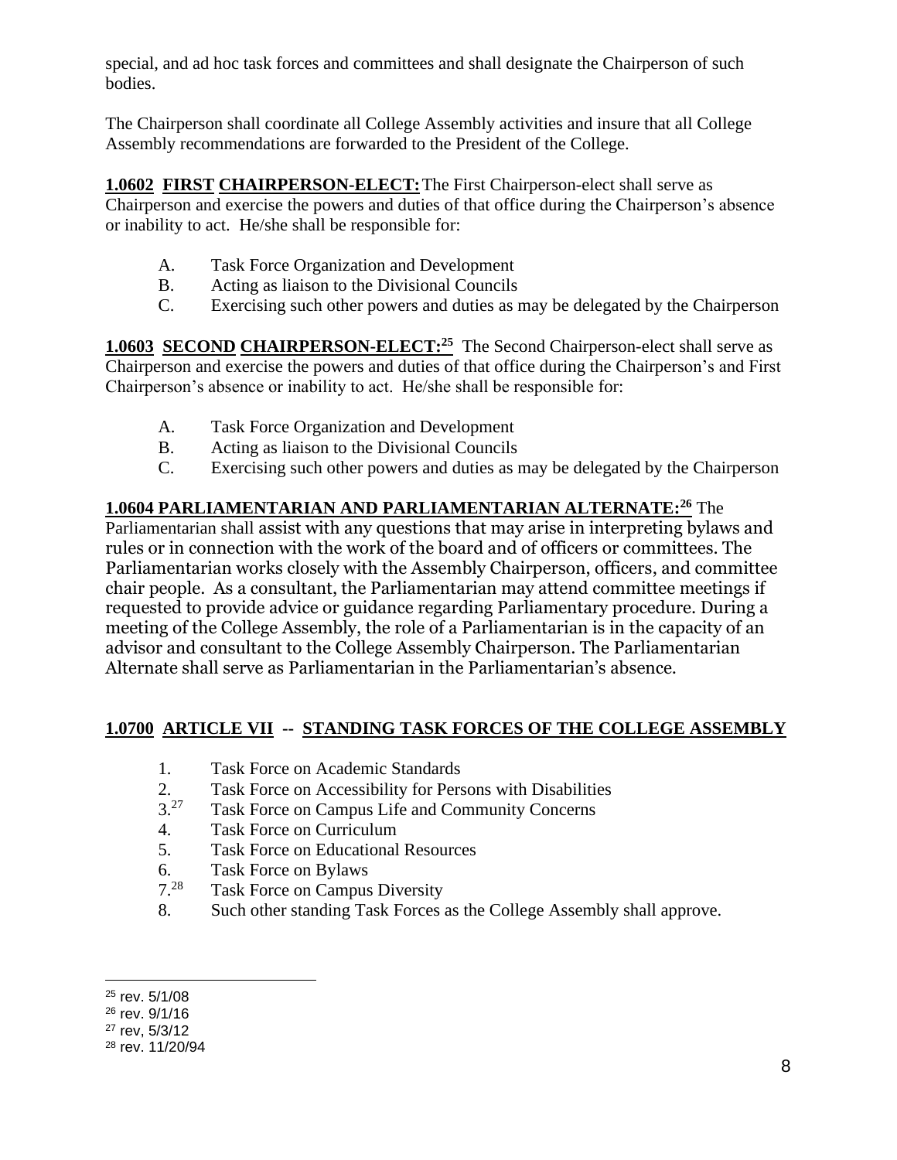special, and ad hoc task forces and committees and shall designate the Chairperson of such bodies.

The Chairperson shall coordinate all College Assembly activities and insure that all College Assembly recommendations are forwarded to the President of the College.

**1.0602 FIRST CHAIRPERSON-ELECT:**The First Chairperson-elect shall serve as Chairperson and exercise the powers and duties of that office during the Chairperson's absence or inability to act. He/she shall be responsible for:

- A. Task Force Organization and Development
- B. Acting as liaison to the Divisional Councils
- C. Exercising such other powers and duties as may be delegated by the Chairperson

**1.0603 SECOND CHAIRPERSON-ELECT:**<sup>25</sup> The Second Chairperson-elect shall serve as Chairperson and exercise the powers and duties of that office during the Chairperson's and First Chairperson's absence or inability to act. He/she shall be responsible for:

- A. Task Force Organization and Development
- B. Acting as liaison to the Divisional Councils
- C. Exercising such other powers and duties as may be delegated by the Chairperson

### **1.0604 PARLIAMENTARIAN AND PARLIAMENTARIAN ALTERNATE: <sup>26</sup>** The

Parliamentarian shall assist with any questions that may arise in interpreting bylaws and rules or in connection with the work of the board and of officers or committees. The Parliamentarian works closely with the Assembly Chairperson, officers, and committee chair people. As a consultant, the Parliamentarian may attend committee meetings if requested to provide advice or guidance regarding Parliamentary procedure. During a meeting of the College Assembly, the role of a Parliamentarian is in the capacity of an advisor and consultant to the College Assembly Chairperson. The Parliamentarian Alternate shall serve as Parliamentarian in the Parliamentarian's absence.

#### **1.0700 ARTICLE VII -- STANDING TASK FORCES OF THE COLLEGE ASSEMBLY**

- 1. Task Force on Academic Standards
- 2. Task Force on Accessibility for Persons with Disabilities
- $3^{27}$ Task Force on Campus Life and Community Concerns
- 4. Task Force on Curriculum
- 5. Task Force on Educational Resources
- 6. Task Force on Bylaws
- 7.28 Task Force on Campus Diversity
- 8. Such other standing Task Forces as the College Assembly shall approve.

<sup>25</sup> rev. 5/1/08

<sup>26</sup> rev. 9/1/16

<sup>27</sup> rev, 5/3/12

<sup>28</sup> rev. 11/20/94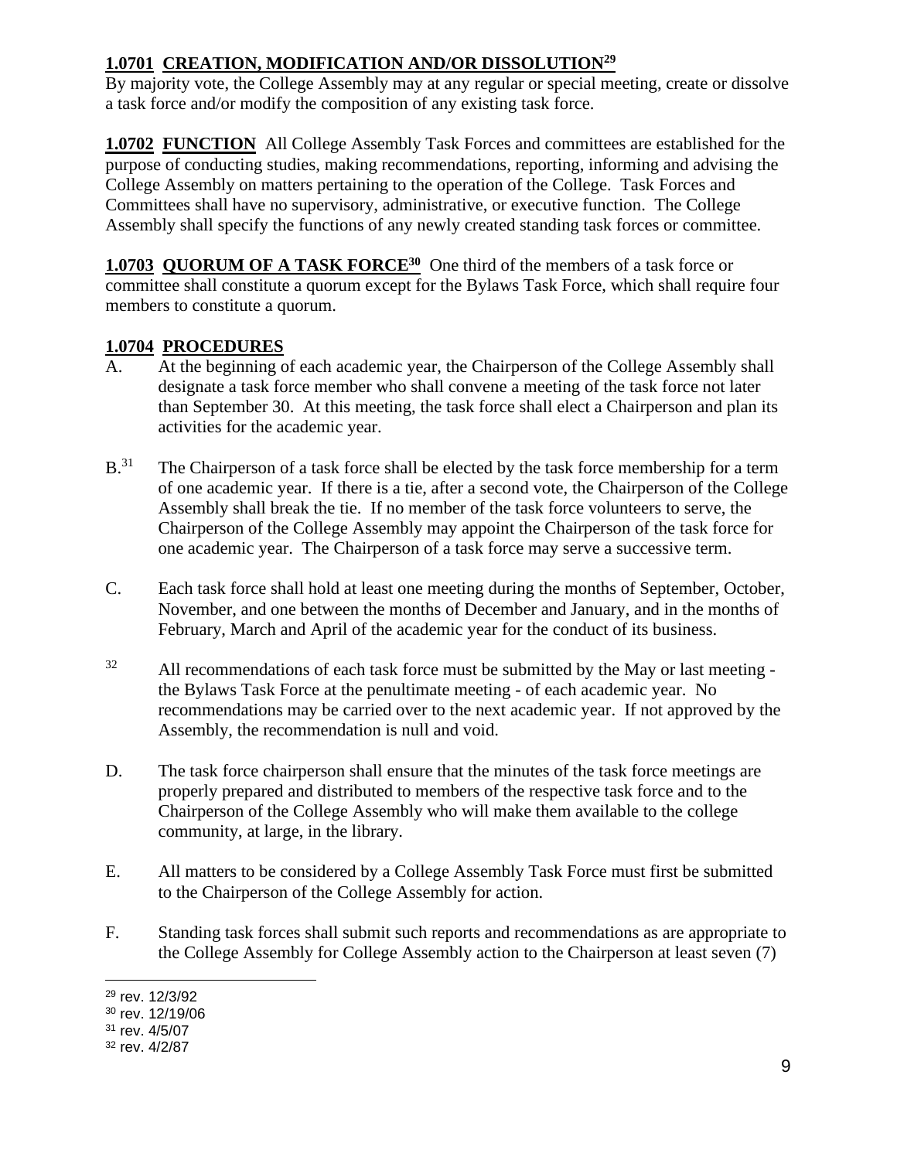## **1.0701 CREATION, MODIFICATION AND/OR DISSOLUTION<sup>29</sup>**

By majority vote, the College Assembly may at any regular or special meeting, create or dissolve a task force and/or modify the composition of any existing task force.

**1.0702 FUNCTION** All College Assembly Task Forces and committees are established for the purpose of conducting studies, making recommendations, reporting, informing and advising the College Assembly on matters pertaining to the operation of the College. Task Forces and Committees shall have no supervisory, administrative, or executive function. The College Assembly shall specify the functions of any newly created standing task forces or committee.

1.0703 QUORUM OF A TASK FORCE<sup>30</sup> One third of the members of a task force or committee shall constitute a quorum except for the Bylaws Task Force, which shall require four members to constitute a quorum.

### **1.0704 PROCEDURES**

- A. At the beginning of each academic year, the Chairperson of the College Assembly shall designate a task force member who shall convene a meeting of the task force not later than September 30. At this meeting, the task force shall elect a Chairperson and plan its activities for the academic year.
- $B<sup>31</sup>$  The Chairperson of a task force shall be elected by the task force membership for a term of one academic year. If there is a tie, after a second vote, the Chairperson of the College Assembly shall break the tie. If no member of the task force volunteers to serve, the Chairperson of the College Assembly may appoint the Chairperson of the task force for one academic year. The Chairperson of a task force may serve a successive term.
- C. Each task force shall hold at least one meeting during the months of September, October, November, and one between the months of December and January, and in the months of February, March and April of the academic year for the conduct of its business.
- $32$  All recommendations of each task force must be submitted by the May or last meeting the Bylaws Task Force at the penultimate meeting - of each academic year. No recommendations may be carried over to the next academic year. If not approved by the Assembly, the recommendation is null and void.
- D. The task force chairperson shall ensure that the minutes of the task force meetings are properly prepared and distributed to members of the respective task force and to the Chairperson of the College Assembly who will make them available to the college community, at large, in the library.
- E. All matters to be considered by a College Assembly Task Force must first be submitted to the Chairperson of the College Assembly for action.
- F. Standing task forces shall submit such reports and recommendations as are appropriate to the College Assembly for College Assembly action to the Chairperson at least seven (7)

<sup>29</sup> rev. 12/3/92

<sup>30</sup> rev. 12/19/06

<sup>31</sup> rev. 4/5/07

<sup>32</sup> rev. 4/2/87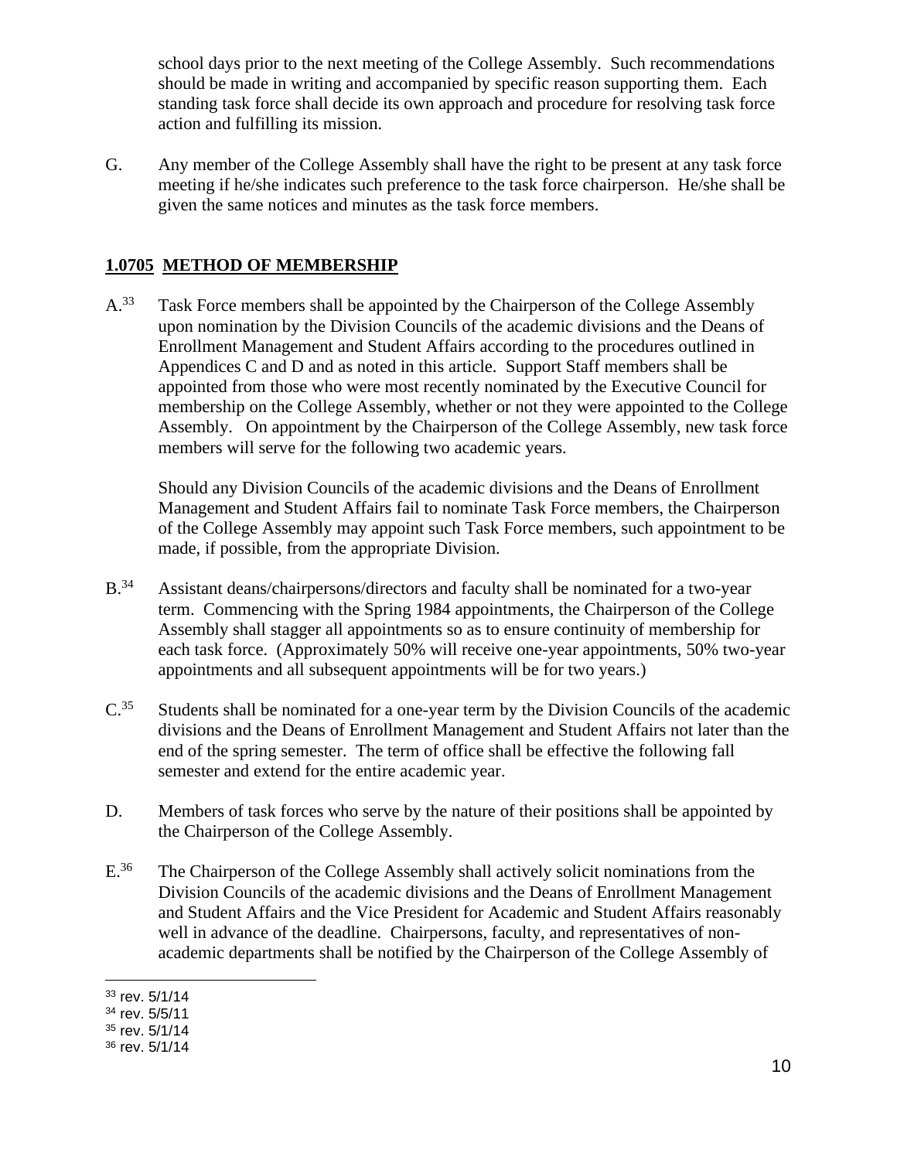school days prior to the next meeting of the College Assembly. Such recommendations should be made in writing and accompanied by specific reason supporting them. Each standing task force shall decide its own approach and procedure for resolving task force action and fulfilling its mission.

G. Any member of the College Assembly shall have the right to be present at any task force meeting if he/she indicates such preference to the task force chairperson. He/she shall be given the same notices and minutes as the task force members.

### **1.0705 METHOD OF MEMBERSHIP**

A.<sup>33</sup> Task Force members shall be appointed by the Chairperson of the College Assembly upon nomination by the Division Councils of the academic divisions and the Deans of Enrollment Management and Student Affairs according to the procedures outlined in Appendices C and D and as noted in this article. Support Staff members shall be appointed from those who were most recently nominated by the Executive Council for membership on the College Assembly, whether or not they were appointed to the College Assembly. On appointment by the Chairperson of the College Assembly, new task force members will serve for the following two academic years.

Should any Division Councils of the academic divisions and the Deans of Enrollment Management and Student Affairs fail to nominate Task Force members, the Chairperson of the College Assembly may appoint such Task Force members, such appointment to be made, if possible, from the appropriate Division.

- B.<sup>34</sup> Assistant deans/chairpersons/directors and faculty shall be nominated for a two-year term. Commencing with the Spring 1984 appointments, the Chairperson of the College Assembly shall stagger all appointments so as to ensure continuity of membership for each task force. (Approximately 50% will receive one-year appointments, 50% two-year appointments and all subsequent appointments will be for two years.)
- $C^{35}$  Students shall be nominated for a one-year term by the Division Councils of the academic divisions and the Deans of Enrollment Management and Student Affairs not later than the end of the spring semester. The term of office shall be effective the following fall semester and extend for the entire academic year.
- D. Members of task forces who serve by the nature of their positions shall be appointed by the Chairperson of the College Assembly.
- E.<sup>36</sup> The Chairperson of the College Assembly shall actively solicit nominations from the Division Councils of the academic divisions and the Deans of Enrollment Management and Student Affairs and the Vice President for Academic and Student Affairs reasonably well in advance of the deadline. Chairpersons, faculty, and representatives of nonacademic departments shall be notified by the Chairperson of the College Assembly of

<sup>33</sup> rev. 5/1/14

<sup>34</sup> rev. 5/5/11

<sup>35</sup> rev. 5/1/14

<sup>36</sup> rev. 5/1/14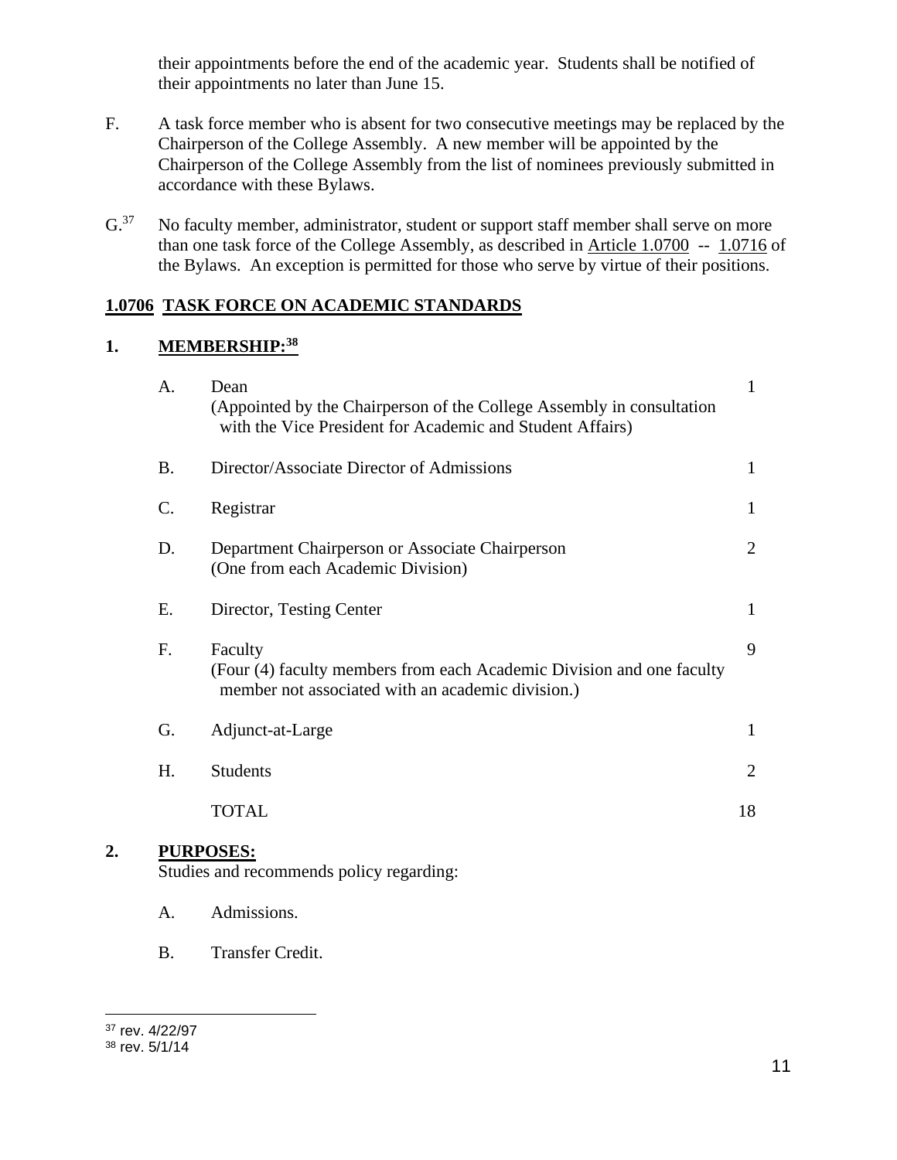their appointments before the end of the academic year. Students shall be notified of their appointments no later than June 15.

- F. A task force member who is absent for two consecutive meetings may be replaced by the Chairperson of the College Assembly. A new member will be appointed by the Chairperson of the College Assembly from the list of nominees previously submitted in accordance with these Bylaws.
- G.<sup>37</sup> No faculty member, administrator, student or support staff member shall serve on more than one task force of the College Assembly, as described in Article 1.0700 -- 1.0716 of the Bylaws. An exception is permitted for those who serve by virtue of their positions.

### **1.0706 TASK FORCE ON ACADEMIC STANDARDS**

#### **1. MEMBERSHIP:<sup>38</sup>**

| A.              | Dean<br>(Appointed by the Chairperson of the College Assembly in consultation<br>with the Vice President for Academic and Student Affairs) | $\mathbf{1}$   |
|-----------------|--------------------------------------------------------------------------------------------------------------------------------------------|----------------|
| <b>B.</b>       | Director/Associate Director of Admissions                                                                                                  | $\mathbf{1}$   |
| $\mathcal{C}$ . | Registrar                                                                                                                                  | $\mathbf{1}$   |
| D.              | Department Chairperson or Associate Chairperson<br>(One from each Academic Division)                                                       | 2              |
| Е.              | Director, Testing Center                                                                                                                   | 1              |
| F.              | Faculty<br>(Four (4) faculty members from each Academic Division and one faculty<br>member not associated with an academic division.)      | 9              |
| G.              | Adjunct-at-Large                                                                                                                           | $\mathbf{1}$   |
| Η.              | <b>Students</b>                                                                                                                            | $\overline{2}$ |
|                 | <b>TOTAL</b>                                                                                                                               | 18             |
|                 | <b>RPOSES:</b>                                                                                                                             |                |

Studies and recommends policy regarding:

- A. Admissions.
- B. Transfer Credit.

**2. PURPOSES:**

<sup>37</sup> rev. 4/22/97

<sup>38</sup> rev. 5/1/14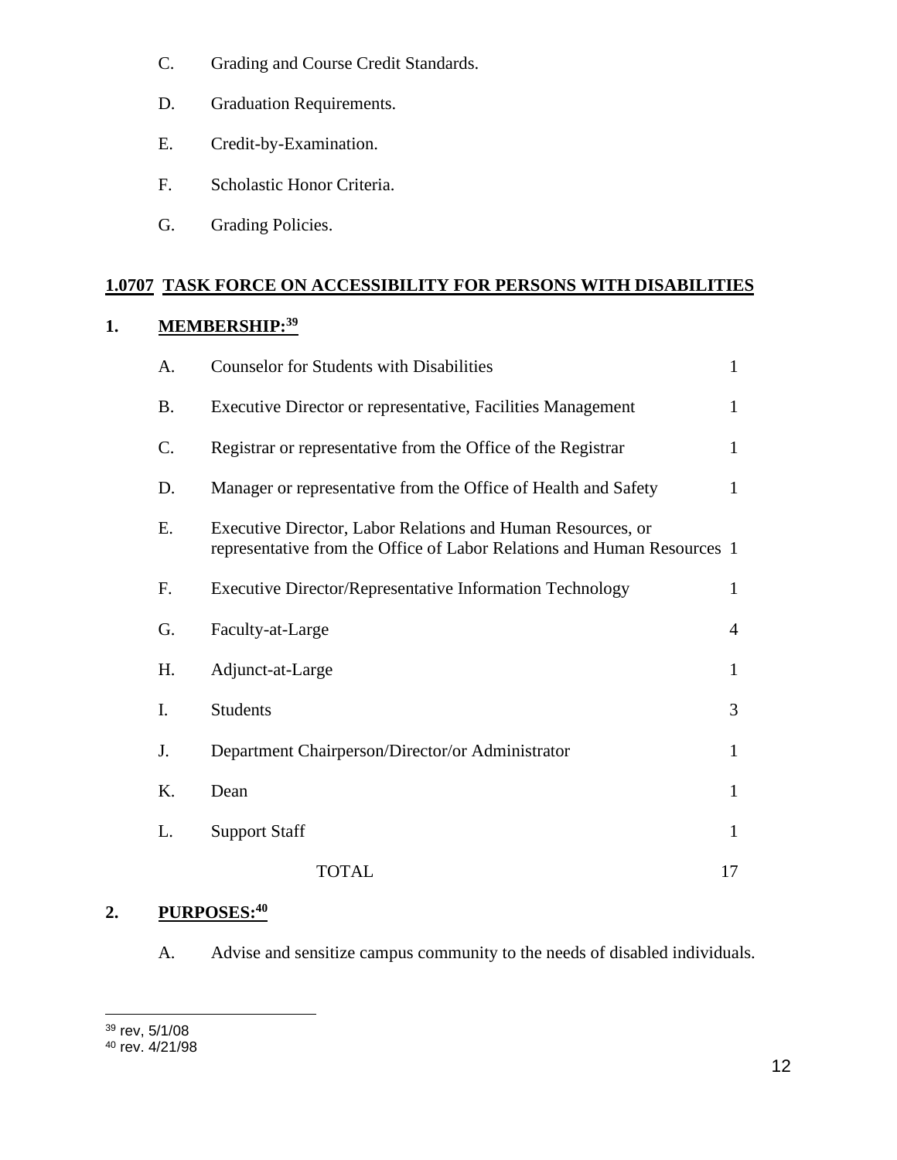- C. Grading and Course Credit Standards.
- D. Graduation Requirements.
- E. Credit-by-Examination.
- F. Scholastic Honor Criteria.
- G. Grading Policies.

### **1.0707 TASK FORCE ON ACCESSIBILITY FOR PERSONS WITH DISABILITIES**

# **1. MEMBERSHIP:<sup>39</sup>**

| А.              | <b>Counselor for Students with Disabilities</b>                                                                                        | $\mathbf{1}$   |
|-----------------|----------------------------------------------------------------------------------------------------------------------------------------|----------------|
| <b>B.</b>       | Executive Director or representative, Facilities Management                                                                            | $\mathbf{1}$   |
| $\mathcal{C}$ . | Registrar or representative from the Office of the Registrar                                                                           | $\mathbf{1}$   |
| D.              | Manager or representative from the Office of Health and Safety                                                                         | $\mathbf{1}$   |
| Ε.              | Executive Director, Labor Relations and Human Resources, or<br>representative from the Office of Labor Relations and Human Resources 1 |                |
| F.              | <b>Executive Director/Representative Information Technology</b>                                                                        | 1              |
| G.              | Faculty-at-Large                                                                                                                       | $\overline{4}$ |
| H.              | Adjunct-at-Large                                                                                                                       | $\mathbf{1}$   |
| Ι.              | <b>Students</b>                                                                                                                        | 3              |
| J.              | Department Chairperson/Director/or Administrator                                                                                       | $\mathbf{1}$   |
| Κ.              | Dean                                                                                                                                   | $\mathbf{1}$   |
| L.              | <b>Support Staff</b>                                                                                                                   | $\mathbf{1}$   |
|                 | <b>TOTAL</b>                                                                                                                           | 17             |

### **2. PURPOSES:<sup>40</sup>**

A. Advise and sensitize campus community to the needs of disabled individuals.

<sup>39</sup> rev, 5/1/08

<sup>40</sup> rev. 4/21/98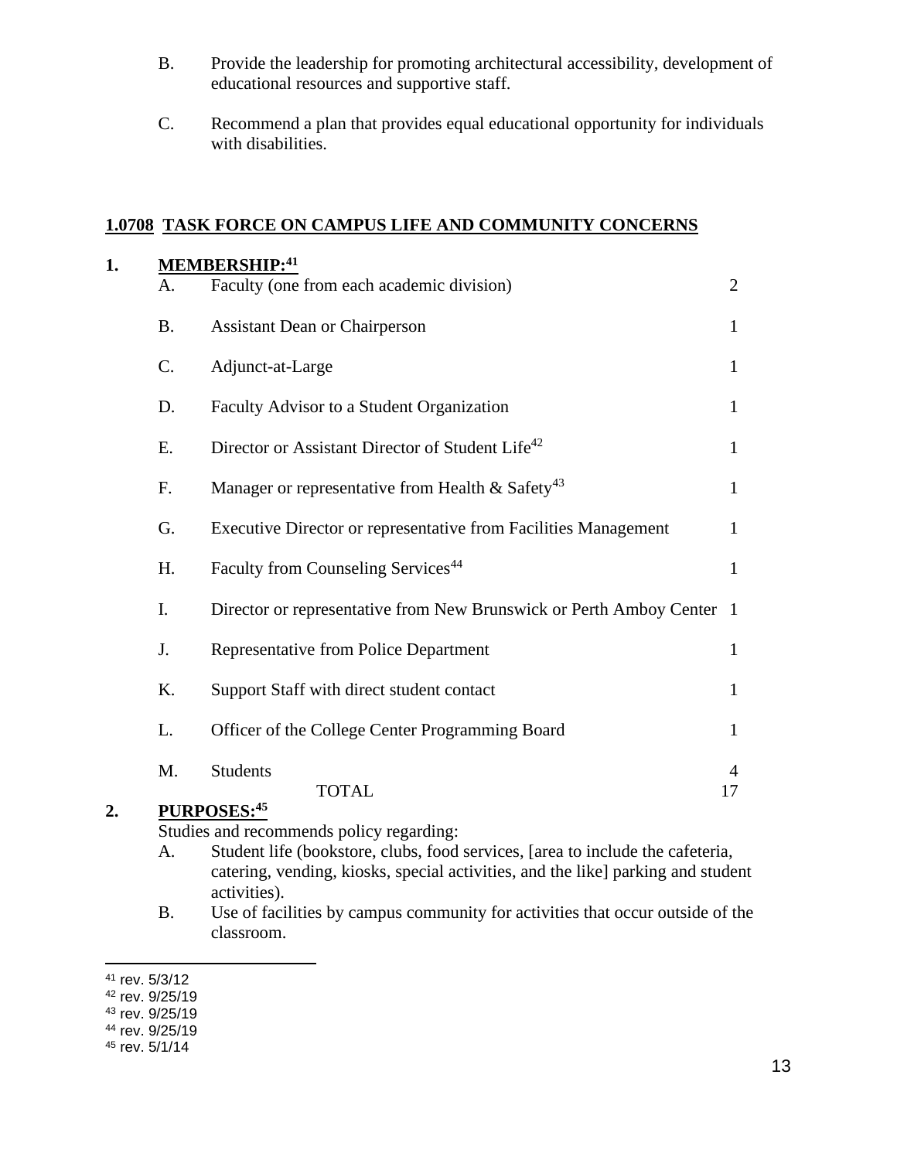- B. Provide the leadership for promoting architectural accessibility, development of educational resources and supportive staff.
- C. Recommend a plan that provides equal educational opportunity for individuals with disabilities.

#### **1.0708 TASK FORCE ON CAMPUS LIFE AND COMMUNITY CONCERNS**

| 1. |           | MEMBERSHIP: 41                                                        |                |
|----|-----------|-----------------------------------------------------------------------|----------------|
|    | A.        | Faculty (one from each academic division)                             | $\overline{2}$ |
|    | <b>B.</b> | <b>Assistant Dean or Chairperson</b>                                  | $\mathbf{1}$   |
|    | C.        | Adjunct-at-Large                                                      | $\mathbf{1}$   |
|    | D.        | Faculty Advisor to a Student Organization                             | $\mathbf{1}$   |
|    | E.        | Director or Assistant Director of Student Life <sup>42</sup>          | $\mathbf{1}$   |
|    | F.        | Manager or representative from Health & Safety <sup>43</sup>          | $\mathbf{1}$   |
|    | G.        | Executive Director or representative from Facilities Management       | $\mathbf{1}$   |
|    | H.        | Faculty from Counseling Services <sup>44</sup>                        | $\mathbf{1}$   |
|    | I.        | Director or representative from New Brunswick or Perth Amboy Center 1 |                |
|    | J.        | Representative from Police Department                                 | $\mathbf{1}$   |
|    | K.        | Support Staff with direct student contact                             | $\mathbf{1}$   |
|    | L.        | Officer of the College Center Programming Board                       | $\mathbf{1}$   |
|    | M.        | <b>Students</b>                                                       | $\overline{4}$ |
| 2. |           | <b>TOTAL</b><br>PURPOSES:45                                           | 17             |

- A. Student life (bookstore, clubs, food services, [area to include the cafeteria, catering, vending, kiosks, special activities, and the like] parking and student activities).
- B. Use of facilities by campus community for activities that occur outside of the classroom.

<sup>41</sup> rev. 5/3/12

<sup>42</sup> rev. 9/25/19

<sup>43</sup> rev. 9/25/19

<sup>44</sup> rev. 9/25/19

<sup>45</sup> rev. 5/1/14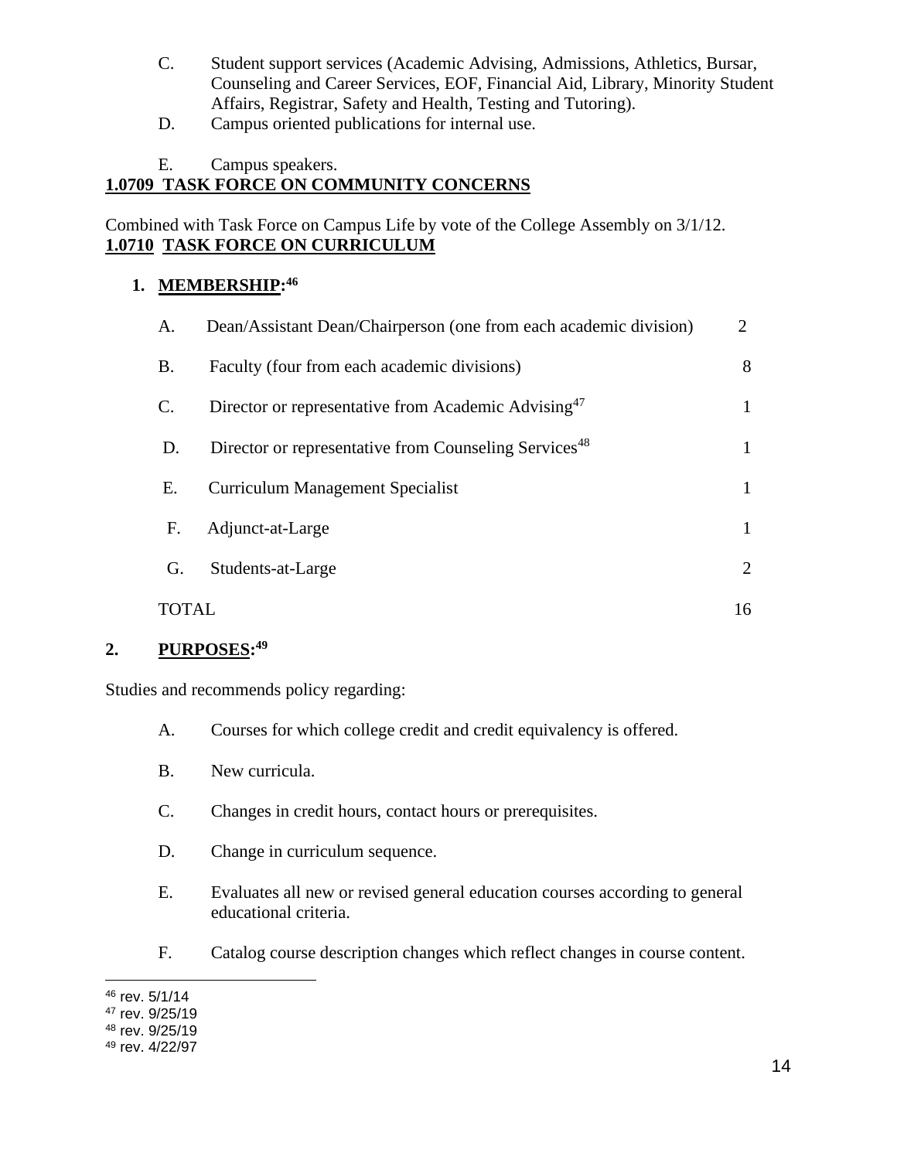- C. Student support services (Academic Advising, Admissions, Athletics, Bursar, Counseling and Career Services, EOF, Financial Aid, Library, Minority Student Affairs, Registrar, Safety and Health, Testing and Tutoring).
- D. Campus oriented publications for internal use.
- E. Campus speakers.

### **1.0709 TASK FORCE ON COMMUNITY CONCERNS**

Combined with Task Force on Campus Life by vote of the College Assembly on 3/1/12. **1.0710 TASK FORCE ON CURRICULUM**

### **1. MEMBERSHIP: 46**

| A.    | Dean/Assistant Dean/Chairperson (one from each academic division) | 2            |
|-------|-------------------------------------------------------------------|--------------|
| B.    | Faculty (four from each academic divisions)                       | 8            |
| C.    | Director or representative from Academic Advising <sup>47</sup>   | $\mathbf{1}$ |
| D.    | Director or representative from Counseling Services <sup>48</sup> | 1            |
| Е.    | <b>Curriculum Management Specialist</b>                           | $\mathbf{1}$ |
| F.    | Adjunct-at-Large                                                  | 1            |
| G.    | Students-at-Large                                                 | 2            |
| TOTAL |                                                                   | 16           |

#### **2. PURPOSES: 49**

- A. Courses for which college credit and credit equivalency is offered.
- B. New curricula.
- C. Changes in credit hours, contact hours or prerequisites.
- D. Change in curriculum sequence.
- E. Evaluates all new or revised general education courses according to general educational criteria.
- F. Catalog course description changes which reflect changes in course content.

<sup>46</sup> rev. 5/1/14

<sup>47</sup> rev. 9/25/19

<sup>48</sup> rev. 9/25/19

<sup>49</sup> rev. 4/22/97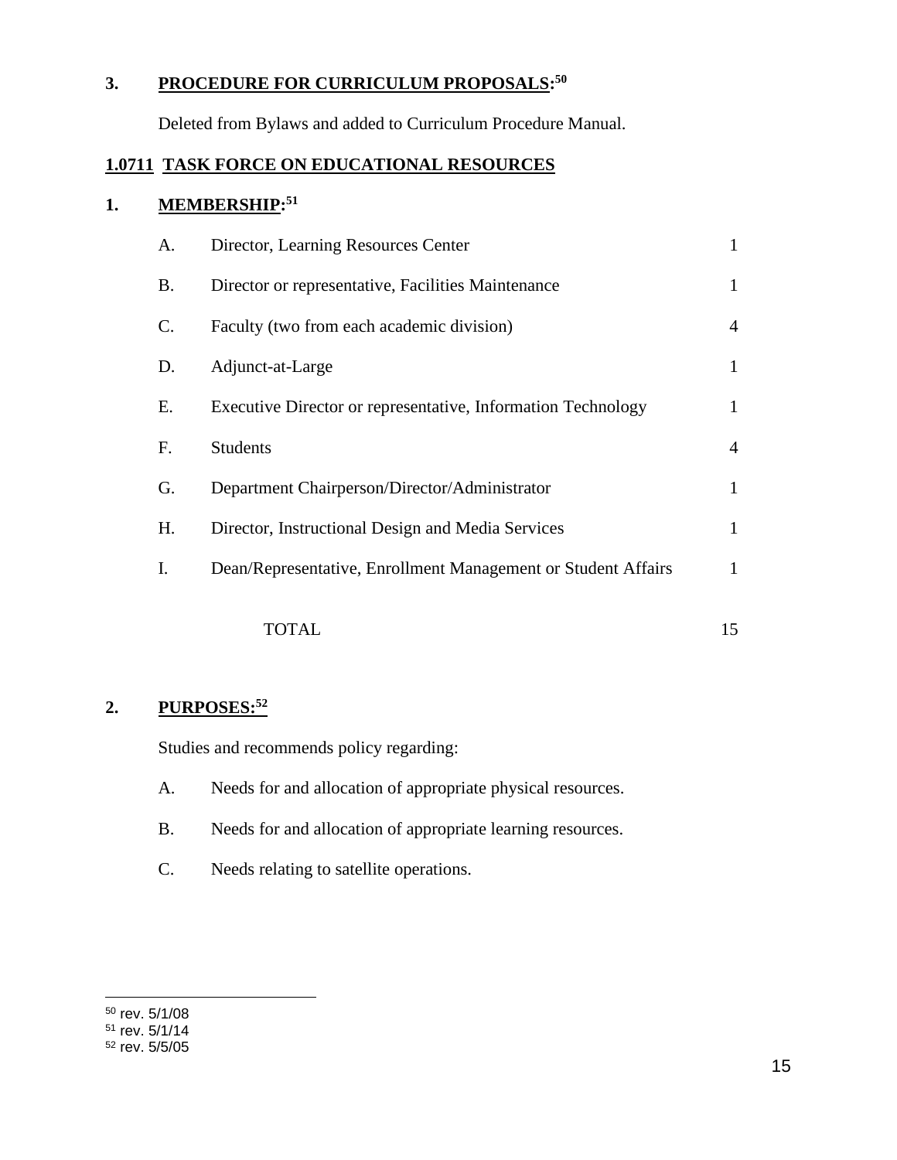### **3. PROCEDURE FOR CURRICULUM PROPOSALS: 50**

Deleted from Bylaws and added to Curriculum Procedure Manual.

# **1.0711 TASK FORCE ON EDUCATIONAL RESOURCES**

## **1. MEMBERSHIP: 51**

| A.              | Director, Learning Resources Center                           | 1              |
|-----------------|---------------------------------------------------------------|----------------|
| <b>B.</b>       | Director or representative, Facilities Maintenance            | 1              |
| $\mathcal{C}$ . | Faculty (two from each academic division)                     | $\overline{4}$ |
| D.              | Adjunct-at-Large                                              | 1              |
| Е.              | Executive Director or representative, Information Technology  | 1              |
| F.              | <b>Students</b>                                               | $\overline{4}$ |
| G.              | Department Chairperson/Director/Administrator                 | $\mathbf{1}$   |
| H.              | Director, Instructional Design and Media Services             | 1              |
| I.              | Dean/Representative, Enrollment Management or Student Affairs | 1              |
|                 | TOTAL                                                         | 15             |
|                 |                                                               |                |

### **2. PURPOSES:<sup>52</sup>**

- A. Needs for and allocation of appropriate physical resources.
- B. Needs for and allocation of appropriate learning resources.
- C. Needs relating to satellite operations.

<sup>50</sup> rev. 5/1/08

<sup>51</sup> rev. 5/1/14

<sup>52</sup> rev. 5/5/05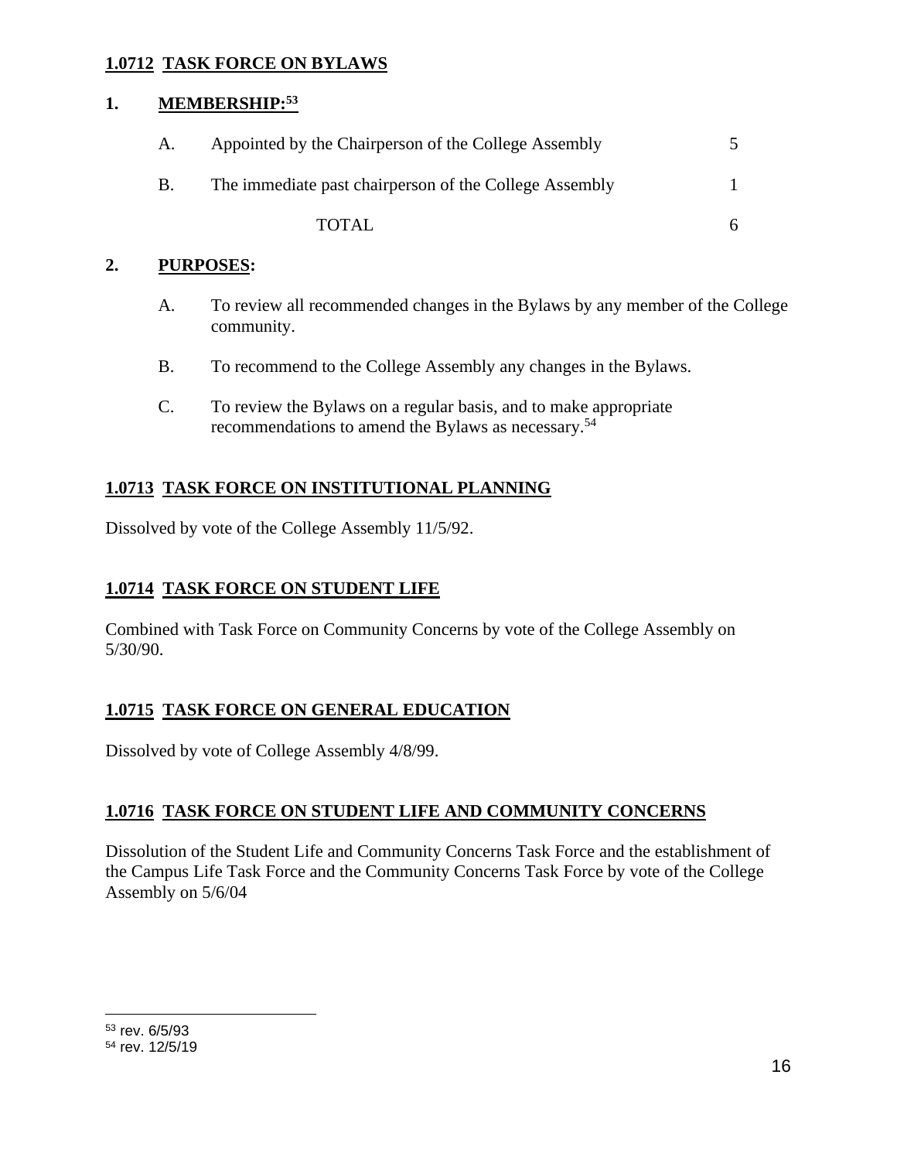### **1.0712 TASK FORCE ON BYLAWS**

### **1. MEMBERSHIP:<sup>53</sup>**

| A. | Appointed by the Chairperson of the College Assembly   |  |
|----|--------------------------------------------------------|--|
| B. | The immediate past chairperson of the College Assembly |  |
|    | TOTAL                                                  |  |

#### **2. PURPOSES:**

- A. To review all recommended changes in the Bylaws by any member of the College community.
- B. To recommend to the College Assembly any changes in the Bylaws.
- C. To review the Bylaws on a regular basis, and to make appropriate recommendations to amend the Bylaws as necessary. 54

# **1.0713 TASK FORCE ON INSTITUTIONAL PLANNING**

Dissolved by vote of the College Assembly 11/5/92.

## **1.0714 TASK FORCE ON STUDENT LIFE**

Combined with Task Force on Community Concerns by vote of the College Assembly on 5/30/90.

### **1.0715 TASK FORCE ON GENERAL EDUCATION**

Dissolved by vote of College Assembly 4/8/99.

### **1.0716 TASK FORCE ON STUDENT LIFE AND COMMUNITY CONCERNS**

Dissolution of the Student Life and Community Concerns Task Force and the establishment of the Campus Life Task Force and the Community Concerns Task Force by vote of the College Assembly on 5/6/04

<sup>53</sup> rev. 6/5/93 <sup>54</sup> rev. 12/5/19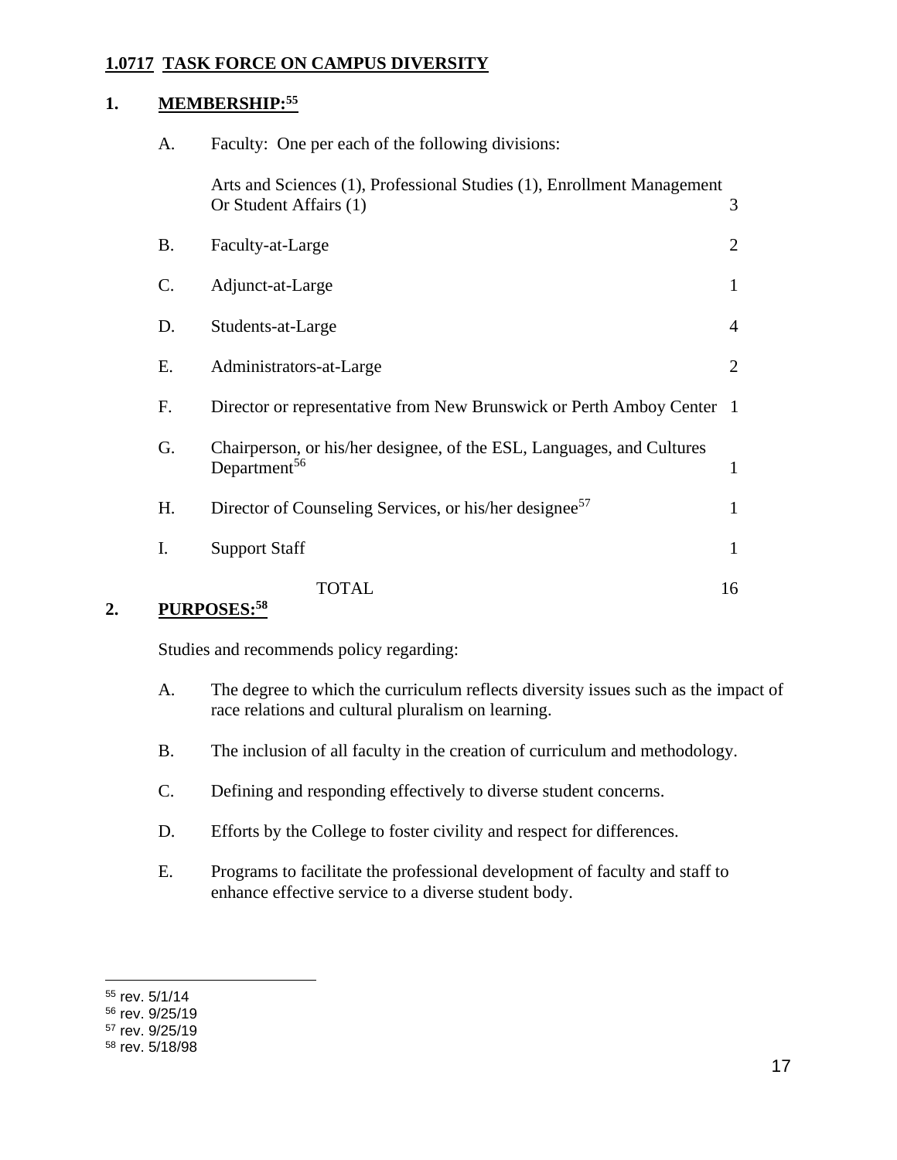### **1.0717 TASK FORCE ON CAMPUS DIVERSITY**

# **1. MEMBERSHIP:<sup>55</sup>**

| A.            | Faculty: One per each of the following divisions:                                                 |                |
|---------------|---------------------------------------------------------------------------------------------------|----------------|
|               | Arts and Sciences (1), Professional Studies (1), Enrollment Management<br>Or Student Affairs (1)  | 3              |
| <b>B.</b>     | Faculty-at-Large                                                                                  | $\overline{2}$ |
| $\mathsf{C}.$ | Adjunct-at-Large                                                                                  | $\mathbf{1}$   |
| D.            | Students-at-Large                                                                                 | $\overline{4}$ |
| Е.            | Administrators-at-Large                                                                           | 2              |
| F.            | Director or representative from New Brunswick or Perth Amboy Center 1                             |                |
| G.            | Chairperson, or his/her designee, of the ESL, Languages, and Cultures<br>Department <sup>56</sup> | $\mathbf{1}$   |
| Н.            | Director of Counseling Services, or his/her designee <sup>57</sup>                                | $\mathbf{1}$   |
| Ι.            | <b>Support Staff</b>                                                                              | $\mathbf{1}$   |
|               | TOTAL                                                                                             | 16             |

### **2. PURPOSES:<sup>58</sup>**

- A. The degree to which the curriculum reflects diversity issues such as the impact of race relations and cultural pluralism on learning.
- B. The inclusion of all faculty in the creation of curriculum and methodology.
- C. Defining and responding effectively to diverse student concerns.
- D. Efforts by the College to foster civility and respect for differences.
- E. Programs to facilitate the professional development of faculty and staff to enhance effective service to a diverse student body.

<sup>55</sup> rev. 5/1/14

<sup>56</sup> rev. 9/25/19

<sup>57</sup> rev. 9/25/19

<sup>58</sup> rev. 5/18/98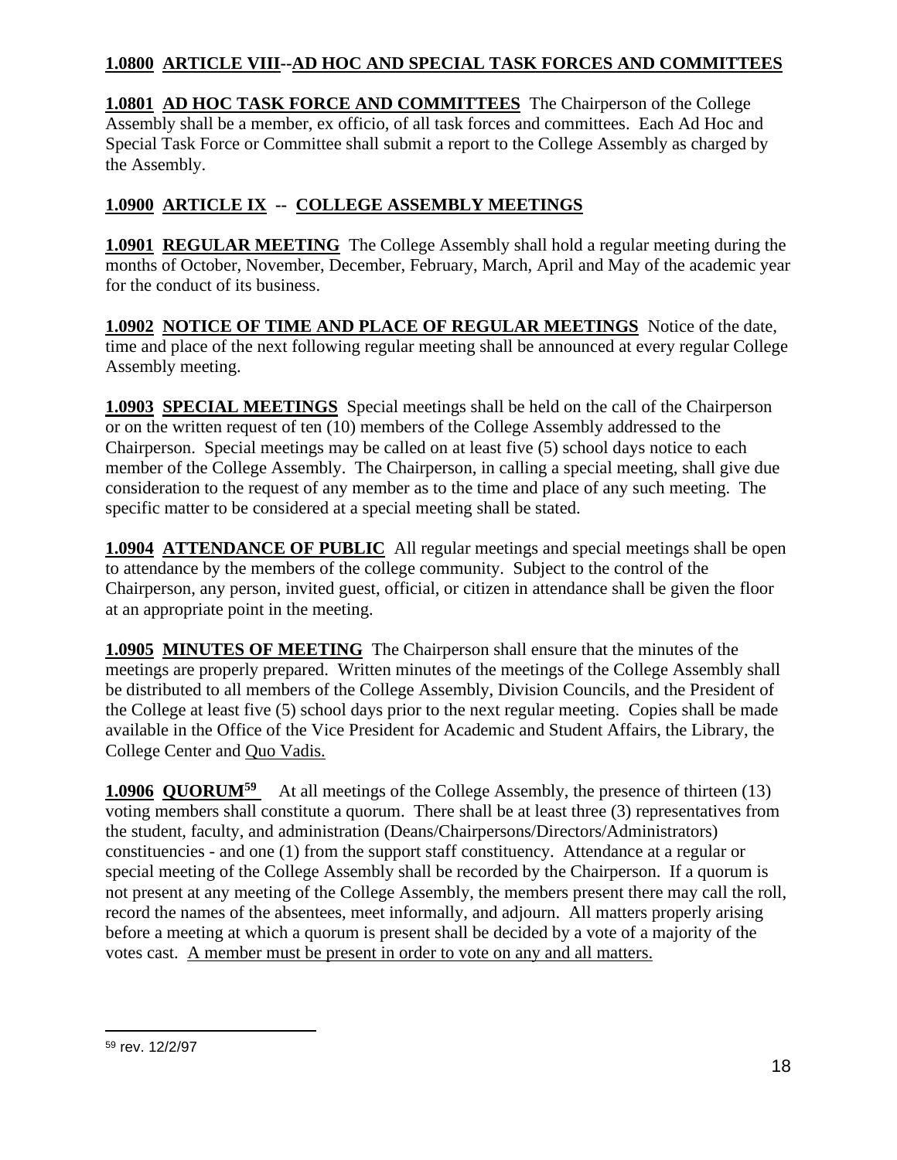## **1.0800 ARTICLE VIII--AD HOC AND SPECIAL TASK FORCES AND COMMITTEES**

**1.0801 AD HOC TASK FORCE AND COMMITTEES** The Chairperson of the College Assembly shall be a member, ex officio, of all task forces and committees. Each Ad Hoc and Special Task Force or Committee shall submit a report to the College Assembly as charged by the Assembly.

# **1.0900 ARTICLE IX -- COLLEGE ASSEMBLY MEETINGS**

**1.0901 REGULAR MEETING** The College Assembly shall hold a regular meeting during the months of October, November, December, February, March, April and May of the academic year for the conduct of its business.

**1.0902 NOTICE OF TIME AND PLACE OF REGULAR MEETINGS** Notice of the date, time and place of the next following regular meeting shall be announced at every regular College Assembly meeting.

**1.0903 SPECIAL MEETINGS** Special meetings shall be held on the call of the Chairperson or on the written request of ten (10) members of the College Assembly addressed to the Chairperson. Special meetings may be called on at least five (5) school days notice to each member of the College Assembly. The Chairperson, in calling a special meeting, shall give due consideration to the request of any member as to the time and place of any such meeting. The specific matter to be considered at a special meeting shall be stated.

**1.0904 ATTENDANCE OF PUBLIC** All regular meetings and special meetings shall be open to attendance by the members of the college community. Subject to the control of the Chairperson, any person, invited guest, official, or citizen in attendance shall be given the floor at an appropriate point in the meeting.

**1.0905 MINUTES OF MEETING** The Chairperson shall ensure that the minutes of the meetings are properly prepared. Written minutes of the meetings of the College Assembly shall be distributed to all members of the College Assembly, Division Councils, and the President of the College at least five (5) school days prior to the next regular meeting. Copies shall be made available in the Office of the Vice President for Academic and Student Affairs, the Library, the College Center and Quo Vadis.

**1.0906 QUORUM<sup>59</sup>** At all meetings of the College Assembly, the presence of thirteen (13) voting members shall constitute a quorum. There shall be at least three (3) representatives from the student, faculty, and administration (Deans/Chairpersons/Directors/Administrators) constituencies - and one (1) from the support staff constituency. Attendance at a regular or special meeting of the College Assembly shall be recorded by the Chairperson. If a quorum is not present at any meeting of the College Assembly, the members present there may call the roll, record the names of the absentees, meet informally, and adjourn. All matters properly arising before a meeting at which a quorum is present shall be decided by a vote of a majority of the votes cast. A member must be present in order to vote on any and all matters.

<sup>59</sup> rev. 12/2/97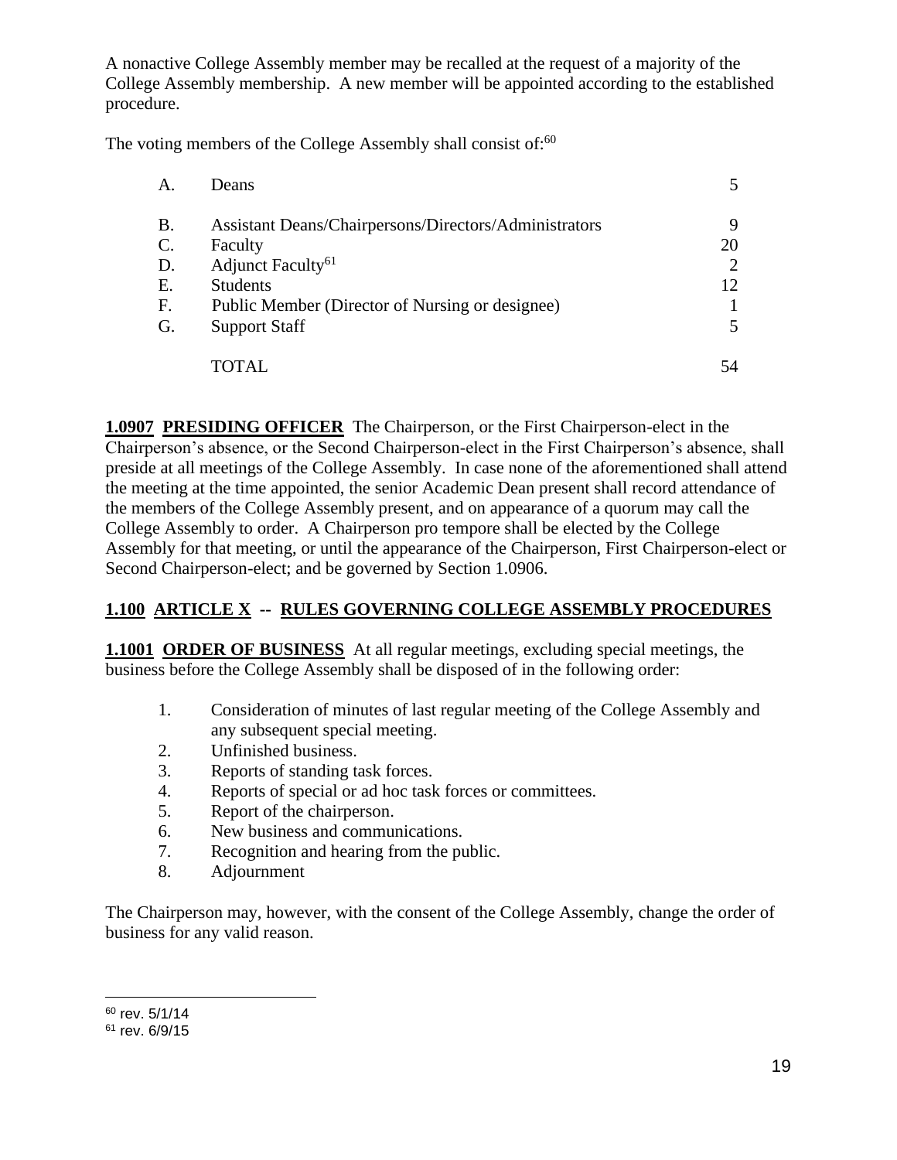A nonactive College Assembly member may be recalled at the request of a majority of the College Assembly membership. A new member will be appointed according to the established procedure.

The voting members of the College Assembly shall consist of: $60$ 

| Α.             | <b>Deans</b>                                          |    |
|----------------|-------------------------------------------------------|----|
| <b>B.</b>      | Assistant Deans/Chairpersons/Directors/Administrators | 9  |
| $\mathbf{C}$ . | Faculty                                               | 20 |
| D.             | Adjunct Faculty <sup>61</sup>                         |    |
| E.             | <b>Students</b>                                       | 12 |
| F.             | Public Member (Director of Nursing or designee)       |    |
| G.             | <b>Support Staff</b>                                  |    |
|                | OTAL.                                                 | 54 |

**1.0907 PRESIDING OFFICER** The Chairperson, or the First Chairperson-elect in the Chairperson's absence, or the Second Chairperson-elect in the First Chairperson's absence, shall preside at all meetings of the College Assembly. In case none of the aforementioned shall attend the meeting at the time appointed, the senior Academic Dean present shall record attendance of the members of the College Assembly present, and on appearance of a quorum may call the College Assembly to order. A Chairperson pro tempore shall be elected by the College Assembly for that meeting, or until the appearance of the Chairperson, First Chairperson-elect or Second Chairperson-elect; and be governed by Section 1.0906.

# **1.100 ARTICLE X -- RULES GOVERNING COLLEGE ASSEMBLY PROCEDURES**

**1.1001 ORDER OF BUSINESS** At all regular meetings, excluding special meetings, the business before the College Assembly shall be disposed of in the following order:

- 1. Consideration of minutes of last regular meeting of the College Assembly and any subsequent special meeting.
- 2. Unfinished business.
- 3. Reports of standing task forces.
- 4. Reports of special or ad hoc task forces or committees.
- 5. Report of the chairperson.
- 6. New business and communications.
- 7. Recognition and hearing from the public.
- 8. Adjournment

The Chairperson may, however, with the consent of the College Assembly, change the order of business for any valid reason.

<sup>60</sup> rev. 5/1/14

<sup>61</sup> rev. 6/9/15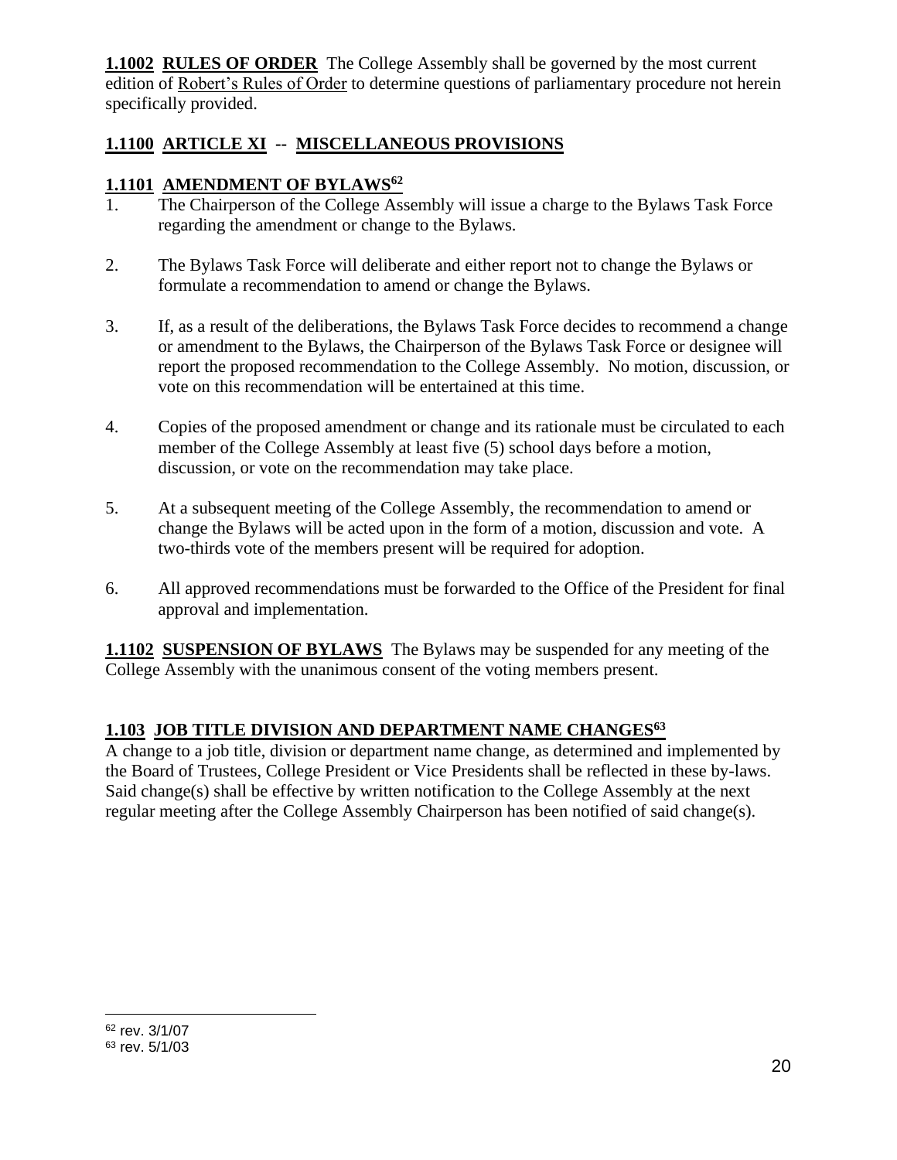**1.1002 RULES OF ORDER** The College Assembly shall be governed by the most current edition of Robert's Rules of Order to determine questions of parliamentary procedure not herein specifically provided.

# **1.1100 ARTICLE XI -- MISCELLANEOUS PROVISIONS**

## **1.1101 AMENDMENT OF BYLAWS<sup>62</sup>**

- 1. The Chairperson of the College Assembly will issue a charge to the Bylaws Task Force regarding the amendment or change to the Bylaws.
- 2. The Bylaws Task Force will deliberate and either report not to change the Bylaws or formulate a recommendation to amend or change the Bylaws.
- 3. If, as a result of the deliberations, the Bylaws Task Force decides to recommend a change or amendment to the Bylaws, the Chairperson of the Bylaws Task Force or designee will report the proposed recommendation to the College Assembly. No motion, discussion, or vote on this recommendation will be entertained at this time.
- 4. Copies of the proposed amendment or change and its rationale must be circulated to each member of the College Assembly at least five (5) school days before a motion, discussion, or vote on the recommendation may take place.
- 5. At a subsequent meeting of the College Assembly, the recommendation to amend or change the Bylaws will be acted upon in the form of a motion, discussion and vote. A two-thirds vote of the members present will be required for adoption.
- 6. All approved recommendations must be forwarded to the Office of the President for final approval and implementation.

**1.1102 SUSPENSION OF BYLAWS** The Bylaws may be suspended for any meeting of the College Assembly with the unanimous consent of the voting members present.

### **1.103 JOB TITLE DIVISION AND DEPARTMENT NAME CHANGES<sup>63</sup>**

A change to a job title, division or department name change, as determined and implemented by the Board of Trustees, College President or Vice Presidents shall be reflected in these by-laws. Said change(s) shall be effective by written notification to the College Assembly at the next regular meeting after the College Assembly Chairperson has been notified of said change(s).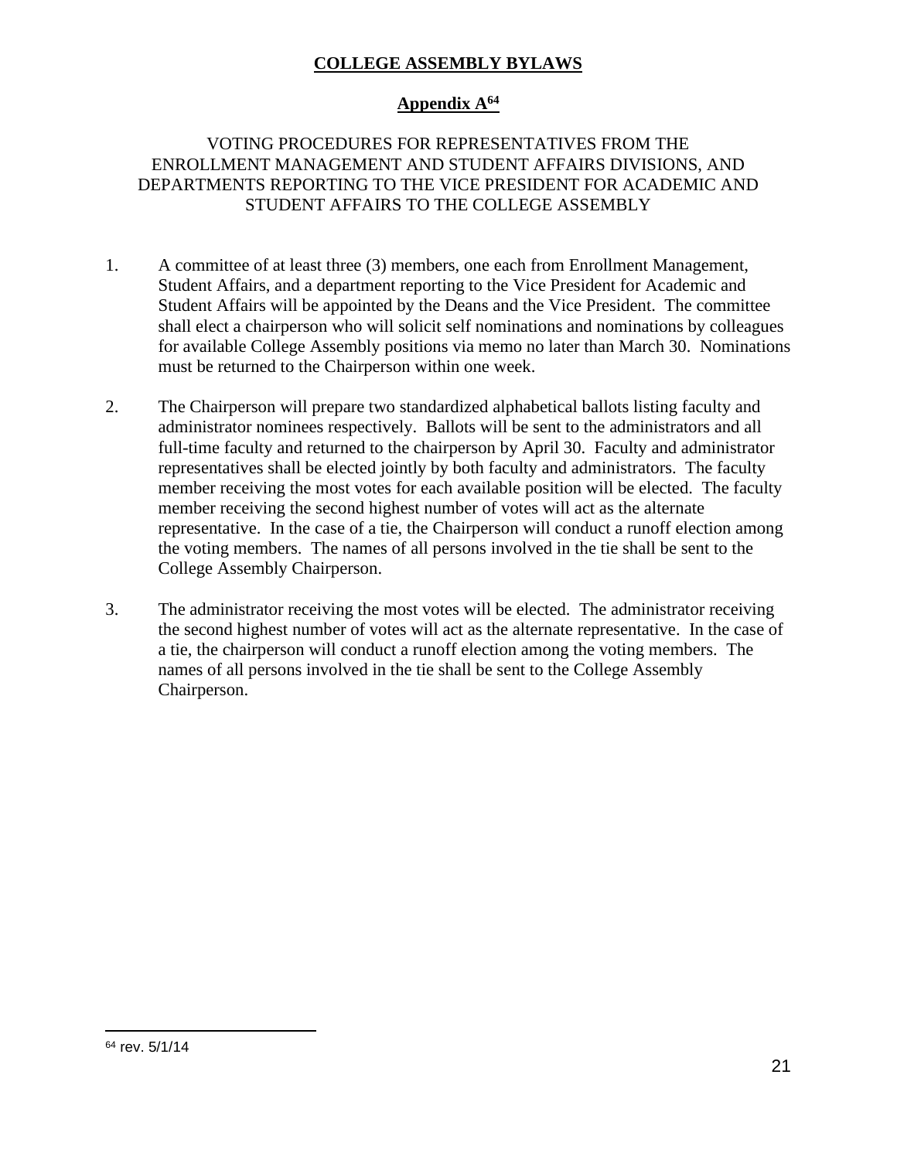### **COLLEGE ASSEMBLY BYLAWS**

## **Appendix A<sup>64</sup>**

### VOTING PROCEDURES FOR REPRESENTATIVES FROM THE ENROLLMENT MANAGEMENT AND STUDENT AFFAIRS DIVISIONS, AND DEPARTMENTS REPORTING TO THE VICE PRESIDENT FOR ACADEMIC AND STUDENT AFFAIRS TO THE COLLEGE ASSEMBLY

- 1. A committee of at least three (3) members, one each from Enrollment Management, Student Affairs, and a department reporting to the Vice President for Academic and Student Affairs will be appointed by the Deans and the Vice President. The committee shall elect a chairperson who will solicit self nominations and nominations by colleagues for available College Assembly positions via memo no later than March 30. Nominations must be returned to the Chairperson within one week.
- 2. The Chairperson will prepare two standardized alphabetical ballots listing faculty and administrator nominees respectively. Ballots will be sent to the administrators and all full-time faculty and returned to the chairperson by April 30. Faculty and administrator representatives shall be elected jointly by both faculty and administrators. The faculty member receiving the most votes for each available position will be elected. The faculty member receiving the second highest number of votes will act as the alternate representative. In the case of a tie, the Chairperson will conduct a runoff election among the voting members. The names of all persons involved in the tie shall be sent to the College Assembly Chairperson.
- 3. The administrator receiving the most votes will be elected. The administrator receiving the second highest number of votes will act as the alternate representative. In the case of a tie, the chairperson will conduct a runoff election among the voting members. The names of all persons involved in the tie shall be sent to the College Assembly Chairperson.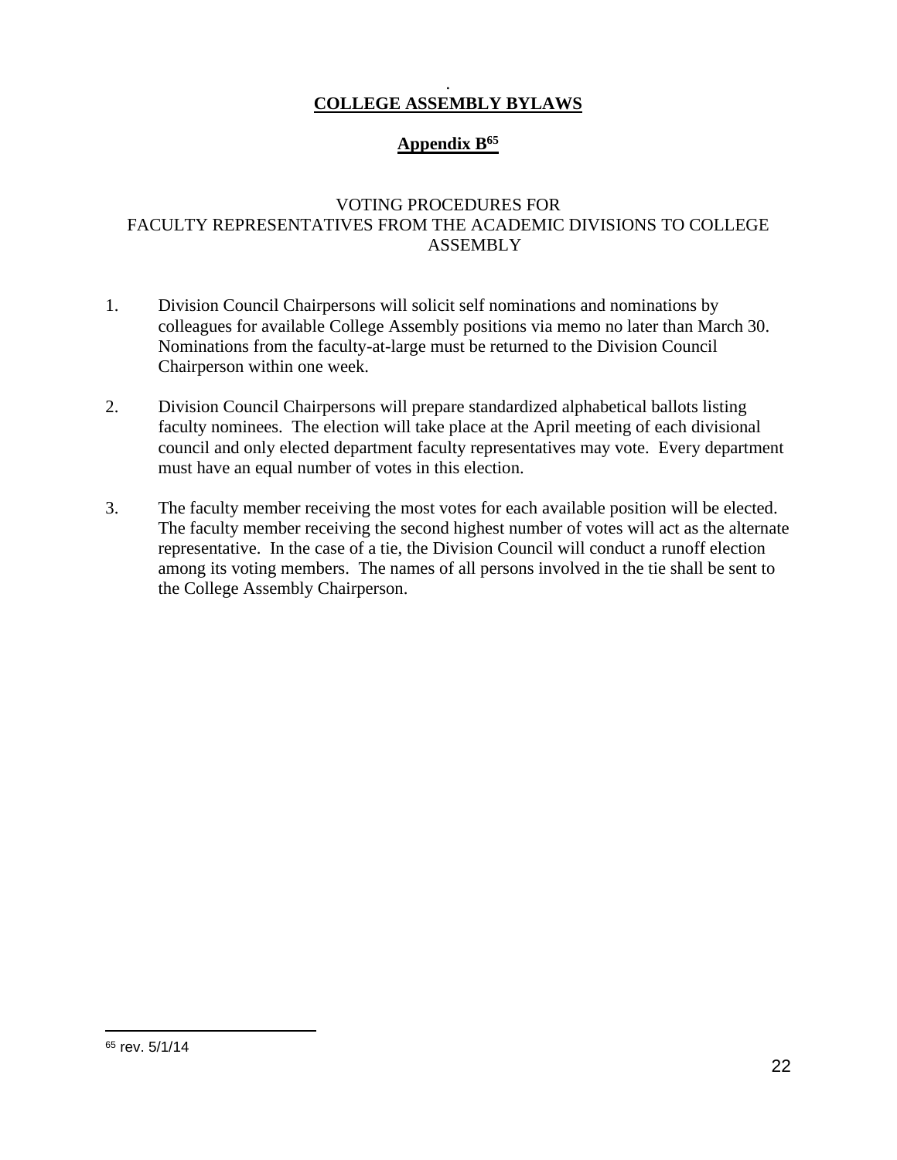#### . **COLLEGE ASSEMBLY BYLAWS**

## **Appendix B<sup>65</sup>**

### VOTING PROCEDURES FOR FACULTY REPRESENTATIVES FROM THE ACADEMIC DIVISIONS TO COLLEGE ASSEMBLY

- 1. Division Council Chairpersons will solicit self nominations and nominations by colleagues for available College Assembly positions via memo no later than March 30. Nominations from the faculty-at-large must be returned to the Division Council Chairperson within one week.
- 2. Division Council Chairpersons will prepare standardized alphabetical ballots listing faculty nominees. The election will take place at the April meeting of each divisional council and only elected department faculty representatives may vote. Every department must have an equal number of votes in this election.
- 3. The faculty member receiving the most votes for each available position will be elected. The faculty member receiving the second highest number of votes will act as the alternate representative. In the case of a tie, the Division Council will conduct a runoff election among its voting members. The names of all persons involved in the tie shall be sent to the College Assembly Chairperson.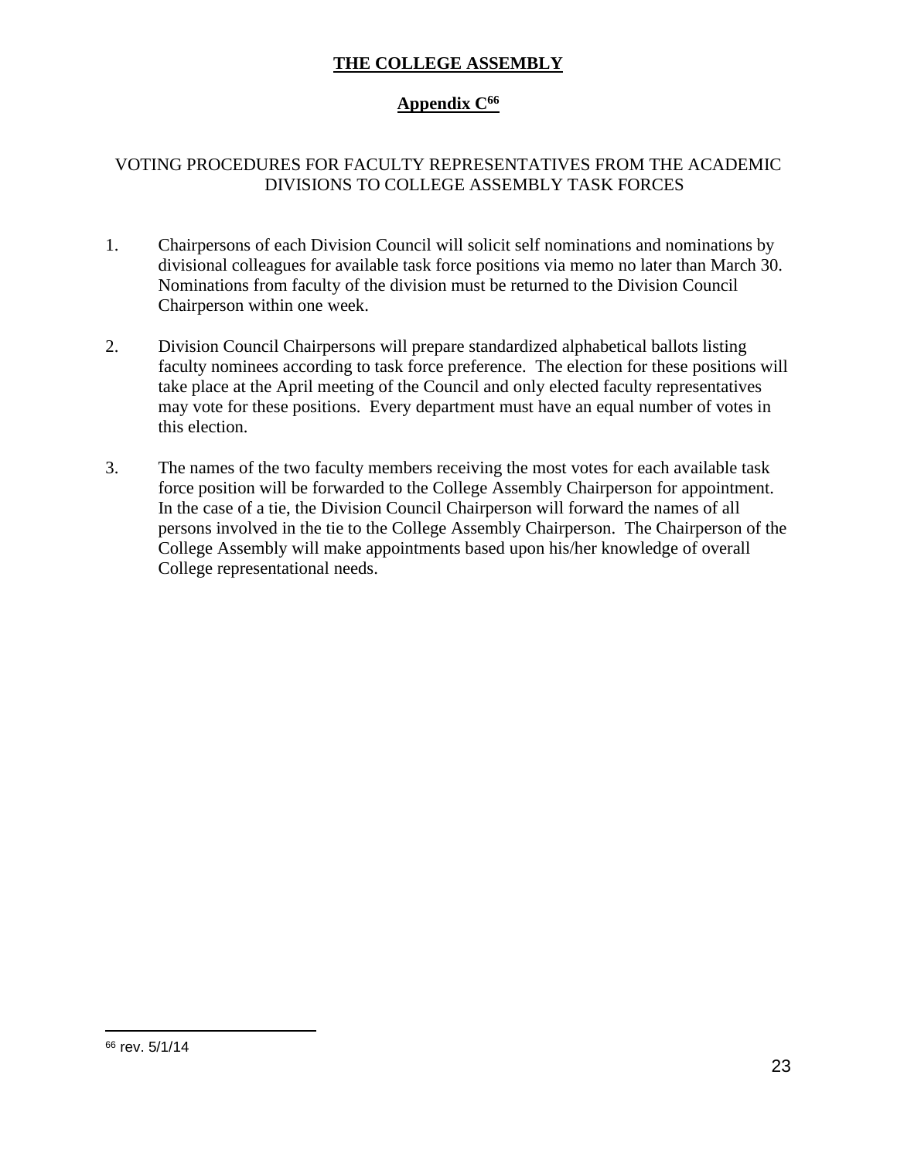### **THE COLLEGE ASSEMBLY**

### **Appendix C<sup>66</sup>**

### VOTING PROCEDURES FOR FACULTY REPRESENTATIVES FROM THE ACADEMIC DIVISIONS TO COLLEGE ASSEMBLY TASK FORCES

- 1. Chairpersons of each Division Council will solicit self nominations and nominations by divisional colleagues for available task force positions via memo no later than March 30. Nominations from faculty of the division must be returned to the Division Council Chairperson within one week.
- 2. Division Council Chairpersons will prepare standardized alphabetical ballots listing faculty nominees according to task force preference. The election for these positions will take place at the April meeting of the Council and only elected faculty representatives may vote for these positions. Every department must have an equal number of votes in this election.
- 3. The names of the two faculty members receiving the most votes for each available task force position will be forwarded to the College Assembly Chairperson for appointment. In the case of a tie, the Division Council Chairperson will forward the names of all persons involved in the tie to the College Assembly Chairperson. The Chairperson of the College Assembly will make appointments based upon his/her knowledge of overall College representational needs.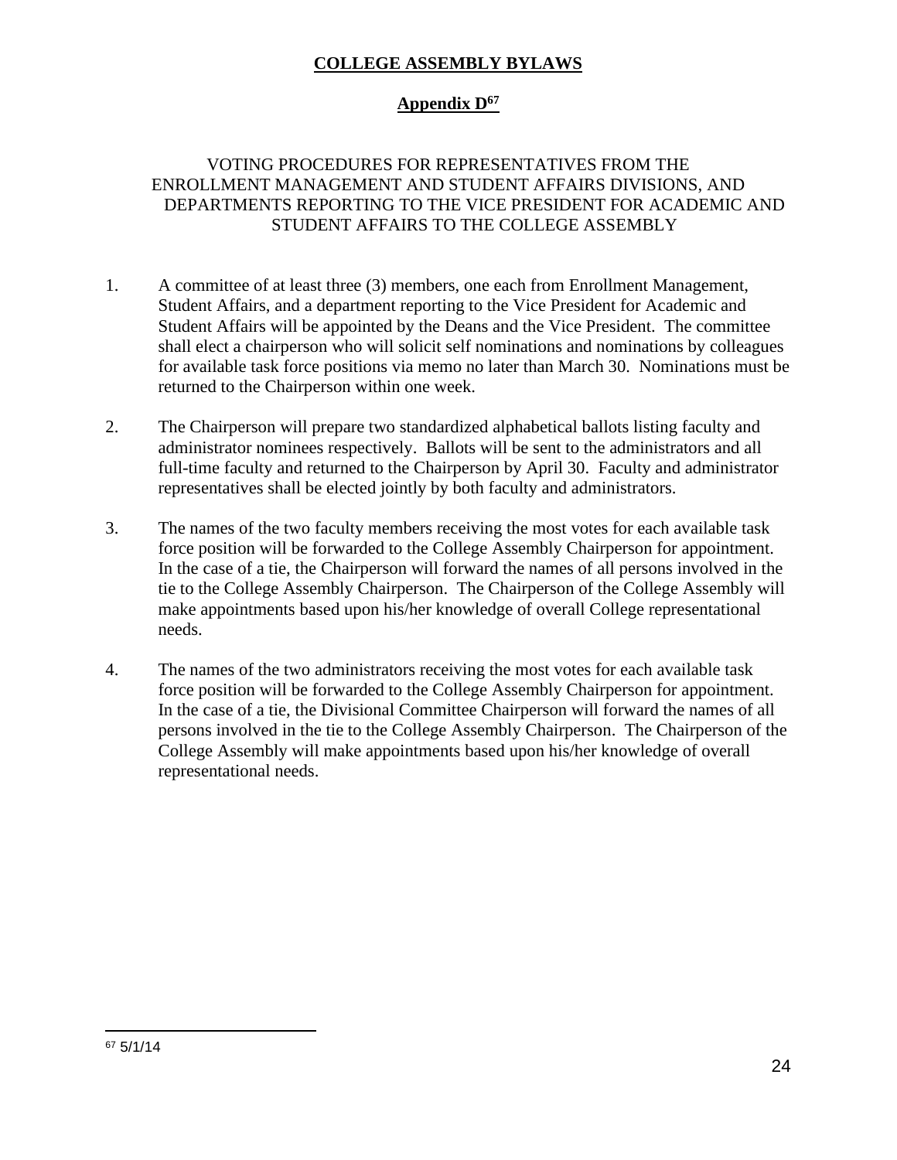### **COLLEGE ASSEMBLY BYLAWS**

## **Appendix D<sup>67</sup>**

### VOTING PROCEDURES FOR REPRESENTATIVES FROM THE ENROLLMENT MANAGEMENT AND STUDENT AFFAIRS DIVISIONS, AND DEPARTMENTS REPORTING TO THE VICE PRESIDENT FOR ACADEMIC AND STUDENT AFFAIRS TO THE COLLEGE ASSEMBLY

- 1. A committee of at least three (3) members, one each from Enrollment Management, Student Affairs, and a department reporting to the Vice President for Academic and Student Affairs will be appointed by the Deans and the Vice President. The committee shall elect a chairperson who will solicit self nominations and nominations by colleagues for available task force positions via memo no later than March 30. Nominations must be returned to the Chairperson within one week.
- 2. The Chairperson will prepare two standardized alphabetical ballots listing faculty and administrator nominees respectively. Ballots will be sent to the administrators and all full-time faculty and returned to the Chairperson by April 30. Faculty and administrator representatives shall be elected jointly by both faculty and administrators.
- 3. The names of the two faculty members receiving the most votes for each available task force position will be forwarded to the College Assembly Chairperson for appointment. In the case of a tie, the Chairperson will forward the names of all persons involved in the tie to the College Assembly Chairperson. The Chairperson of the College Assembly will make appointments based upon his/her knowledge of overall College representational needs.
- 4. The names of the two administrators receiving the most votes for each available task force position will be forwarded to the College Assembly Chairperson for appointment. In the case of a tie, the Divisional Committee Chairperson will forward the names of all persons involved in the tie to the College Assembly Chairperson. The Chairperson of the College Assembly will make appointments based upon his/her knowledge of overall representational needs.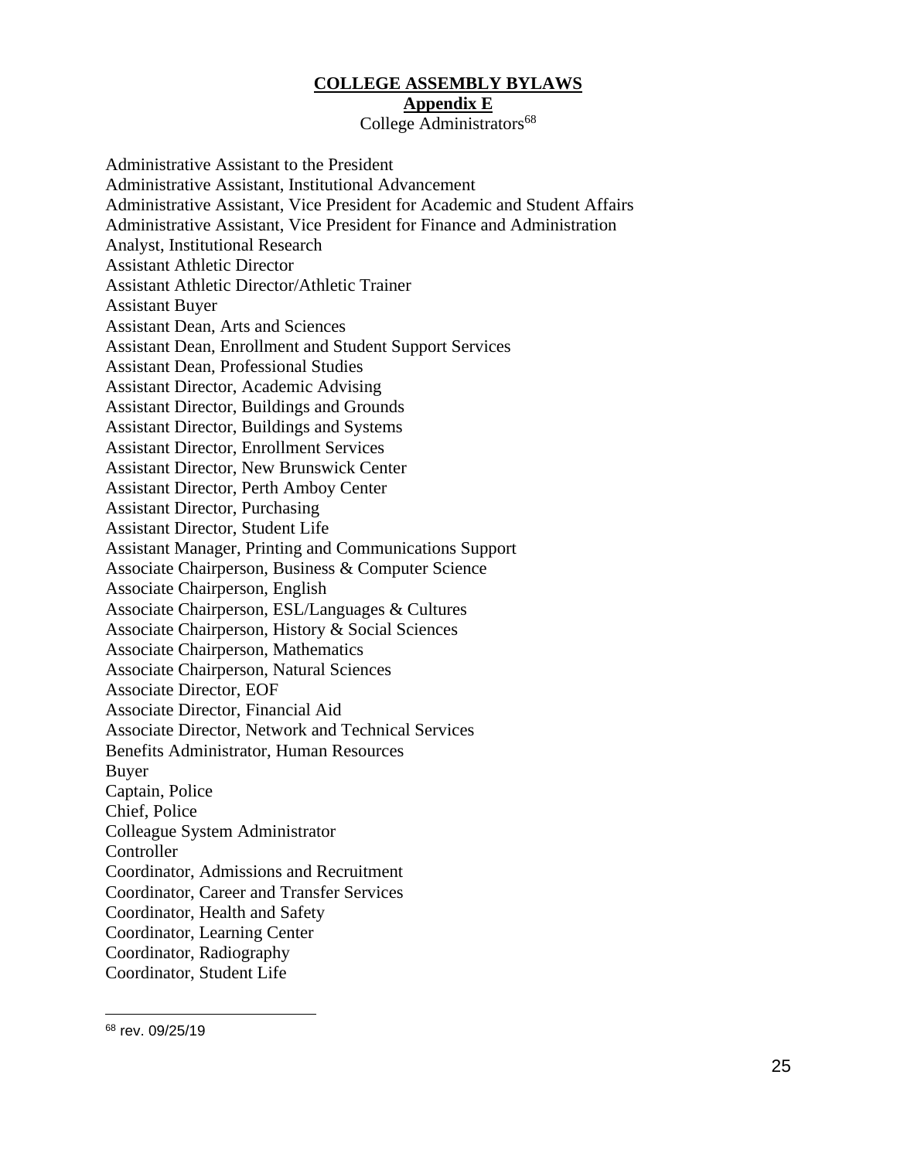#### **COLLEGE ASSEMBLY BYLAWS**

#### **Appendix E**

College Administrators<sup>68</sup>

Administrative Assistant to the President Administrative Assistant, Institutional Advancement Administrative Assistant, Vice President for Academic and Student Affairs Administrative Assistant, Vice President for Finance and Administration Analyst, Institutional Research Assistant Athletic Director Assistant Athletic Director/Athletic Trainer Assistant Buyer Assistant Dean, Arts and Sciences Assistant Dean, Enrollment and Student Support Services Assistant Dean, Professional Studies Assistant Director, Academic Advising Assistant Director, Buildings and Grounds Assistant Director, Buildings and Systems Assistant Director, Enrollment Services Assistant Director, New Brunswick Center Assistant Director, Perth Amboy Center Assistant Director, Purchasing Assistant Director, Student Life Assistant Manager, Printing and Communications Support Associate Chairperson, Business & Computer Science Associate Chairperson, English Associate Chairperson, ESL/Languages & Cultures Associate Chairperson, History & Social Sciences Associate Chairperson, Mathematics Associate Chairperson, Natural Sciences Associate Director, EOF Associate Director, Financial Aid Associate Director, Network and Technical Services Benefits Administrator, Human Resources Buyer Captain, Police Chief, Police Colleague System Administrator Controller Coordinator, Admissions and Recruitment Coordinator, Career and Transfer Services Coordinator, Health and Safety Coordinator, Learning Center Coordinator, Radiography Coordinator, Student Life

<sup>68</sup> rev. 09/25/19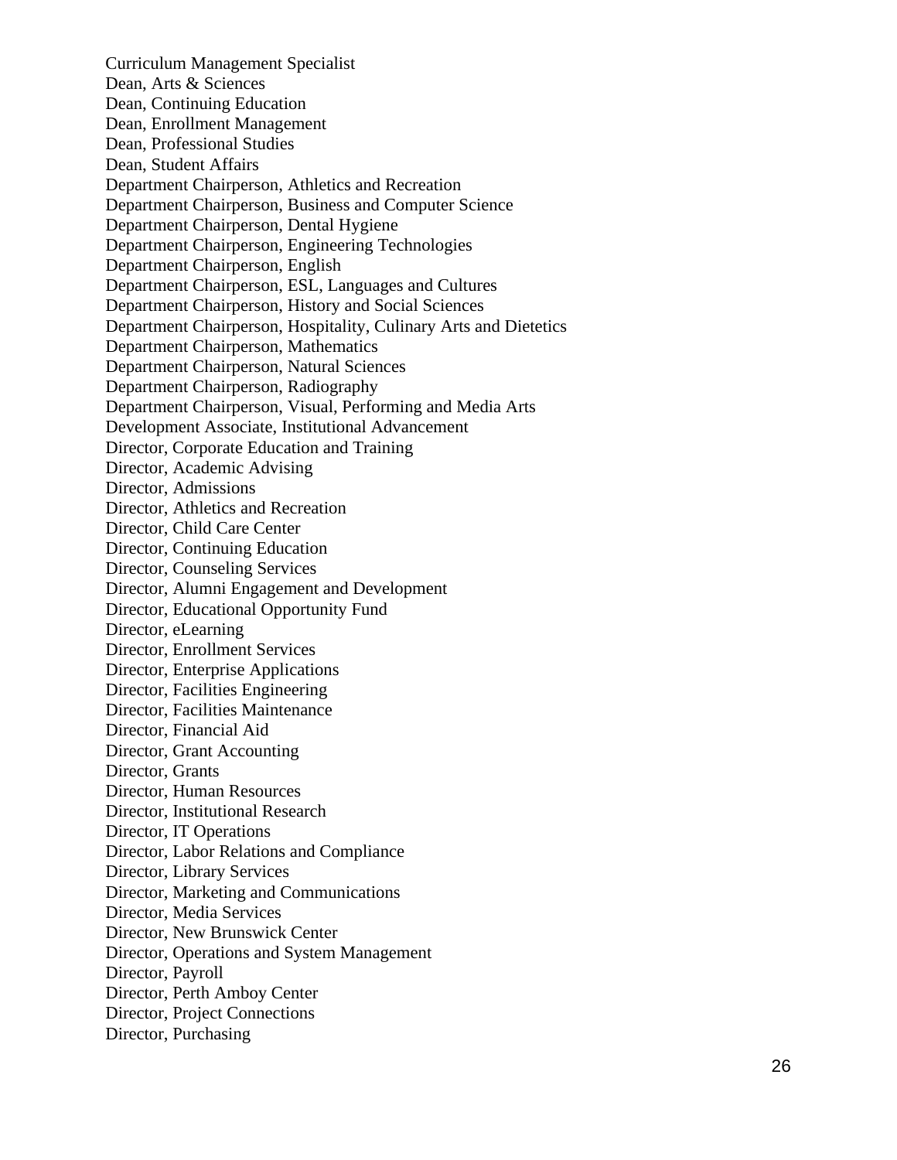Curriculum Management Specialist Dean, Arts & Sciences Dean, Continuing Education Dean, Enrollment Management Dean, Professional Studies Dean, Student Affairs Department Chairperson, Athletics and Recreation Department Chairperson, Business and Computer Science Department Chairperson, Dental Hygiene Department Chairperson, Engineering Technologies Department Chairperson, English Department Chairperson, ESL, Languages and Cultures Department Chairperson, History and Social Sciences Department Chairperson, Hospitality, Culinary Arts and Dietetics Department Chairperson, Mathematics Department Chairperson, Natural Sciences Department Chairperson, Radiography Department Chairperson, Visual, Performing and Media Arts Development Associate, Institutional Advancement Director, Corporate Education and Training Director, Academic Advising Director, Admissions Director, Athletics and Recreation Director, Child Care Center Director, Continuing Educatio n Director, Counseling Services Director, Alumni Engagement and Development Director, Educational Opportunity Fund Director, eLearning Director, Enrollment Services Director, Enterprise Applications Director, Facilities Engineering Director, Facilities Maintenance Director, Financial Aid Director, Grant Accounting Director, Grants Director, Human Resources Director, Institutional Research Director, IT Operations Director, Labor Relations and Compliance Director, Library Services Director, Marketing and Communications Director, Media Services Director, New Brunswick Center Director, Operations and System Management Director, Payroll Director, Perth Amboy Center Director, Project Connections Director, Purchasing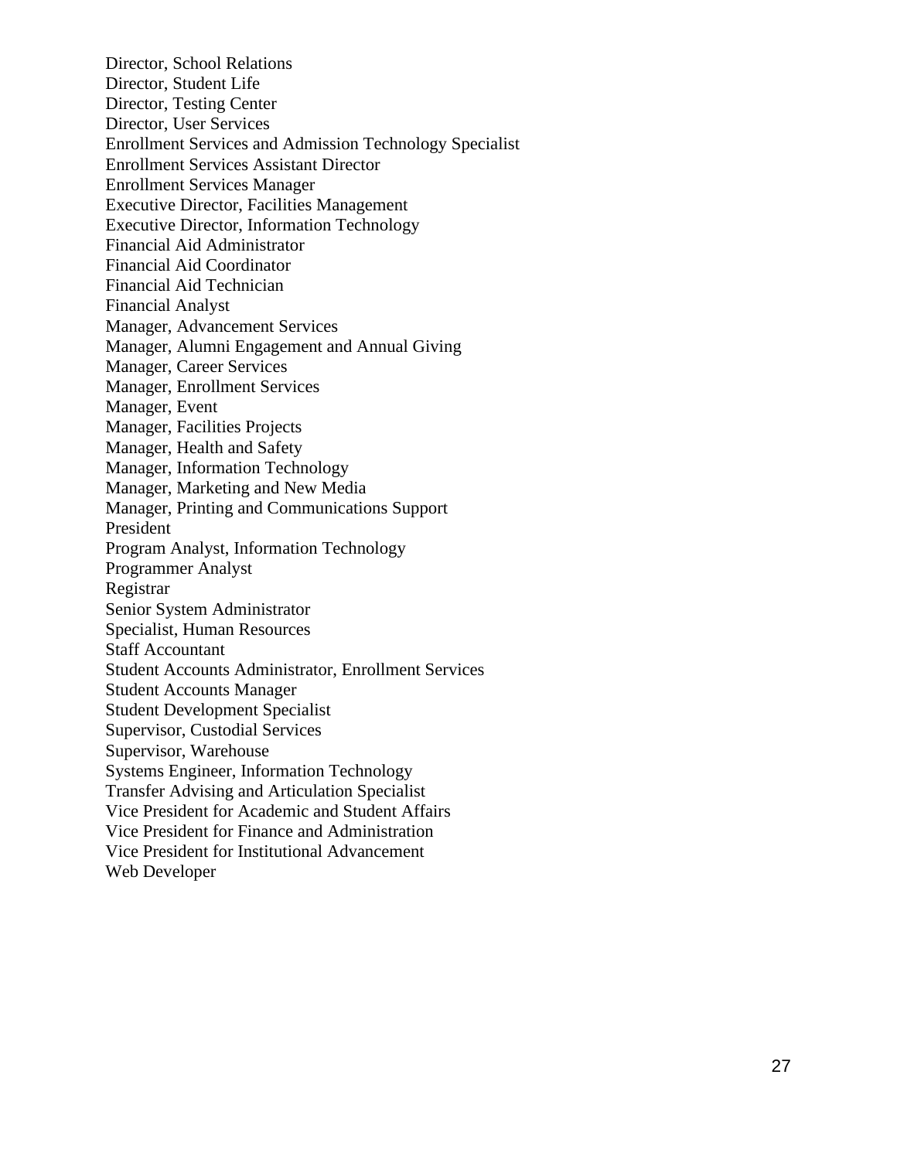Director, School Relations Director, Student Life Director, Testing Center Director, User Services Enrollment Services and Admission Technology Specialist Enrollment Services Assistant Director Enrollment Services Manager Executive Director, Facilities Management Executive Director, Information Technology Financial Aid Administrator Financial Aid Coordinator Financial Aid Technician Financial Analyst Manager, Advancement Services Manager, Alumni Engagement and Annual Giving Manager, Career Services Manager, Enrollment Services Manager, Event Manager, Facilities Projects Manager, Health and Safety Manager, Information Technology Manager, Marketing and New Media Manager, Printing and Communications Support President Program Analyst, Information Technology Programmer Analyst Registrar Senior System Administrator Specialist, Human Resources Staff Accountant Student Accounts Administrator, Enrollment Services Student Accounts Manager Student Development Specialist Supervisor, Custodial Services Supervisor, Warehouse Systems Engineer, Information Technology Transfer Advising and Articulation Specialist Vice President for Academic and Student Affairs Vice President for Finance and Administration Vice President for Institutional Advancement Web Developer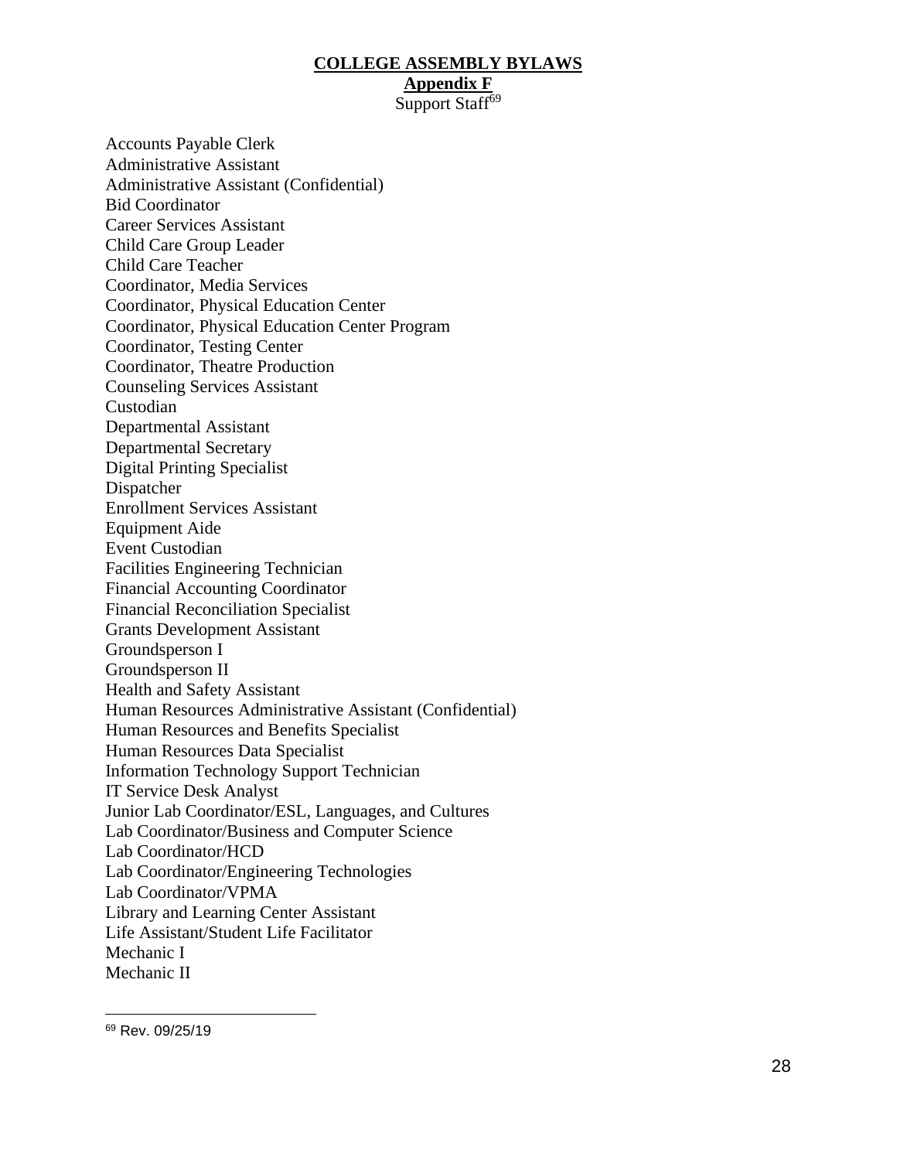#### **COLLEGE ASSEMBLY BYLAWS Appendix F** Support Staff<sup>69</sup>

Accounts Payable Clerk Administrative Assistant Administrative Assistant (Confidential) Bid Coordinator Career Services Assistant Child Care Group Leader Child Care Teacher Coordinator, Media Services Coordinator, Physical Education Center Coordinator, Physical Education Center Program Coordinator, Testing Center Coordinator, Theatre Production Counseling Services Assistant Custodian Departmental Assistant Departmental Secretary Digital Printing Specialist Dispatcher Enrollment Services Assistant Equipment Aide Event Custodian Facilities Engineering Technician Financial Accounting Coordinator Financial Reconciliation Specialist Grants Development Assistant Groundsperson I Groundsperson II Health and Safety Assistant Human Resources Administrative Assistant (Confidential) Human Resources and Benefits Specialist Human Resources Data Specialist Information Technology Support Technician IT Service Desk Analyst Junior Lab Coordinator/ESL, Languages, and Cultures Lab Coordinator/Business and Computer Science Lab Coordinator/HCD Lab Coordinator/Engineering Technologies Lab Coordinator/VPMA Library and Learning Center Assistant Life Assistant/Student Life Facilitator Mechanic I Mechanic II

<sup>69</sup> Rev. 09/25/19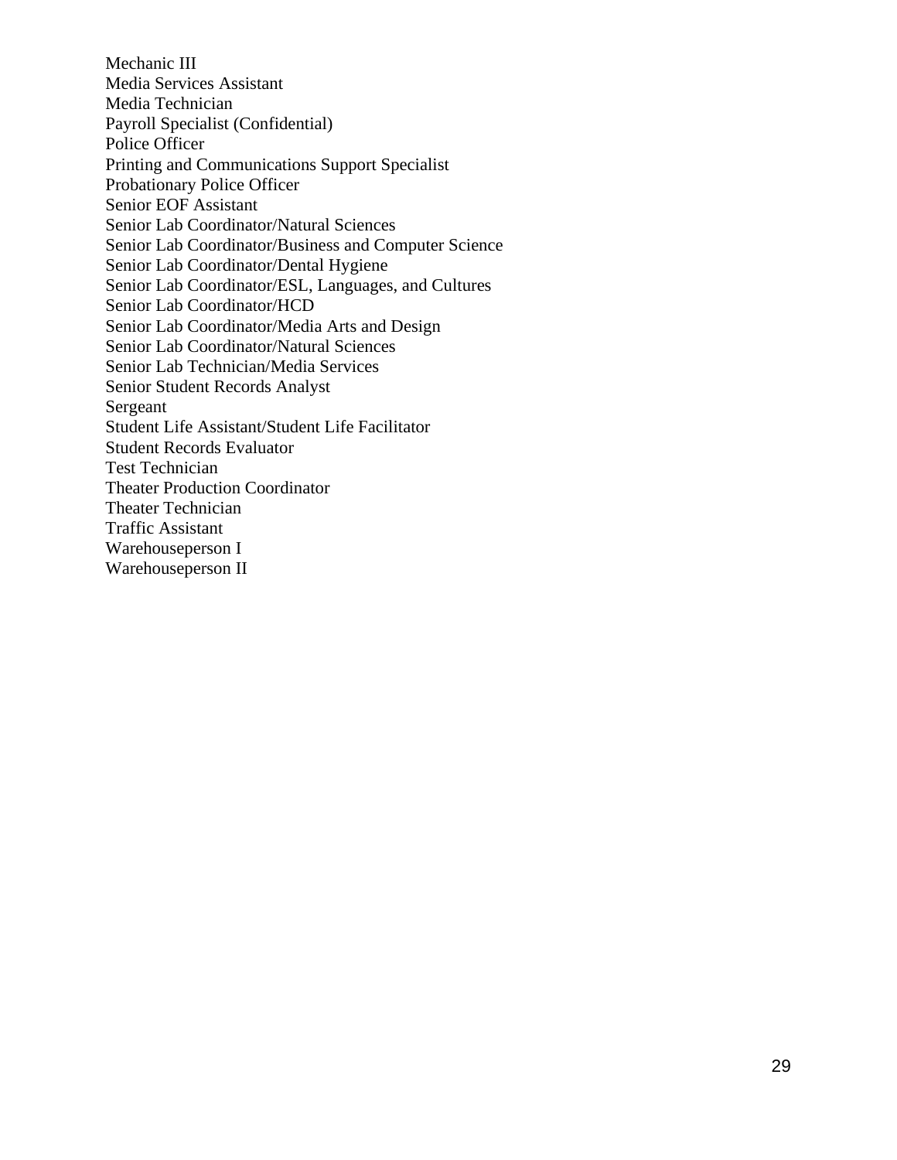Mechanic III Media Services Assistant Media Technician Payroll Specialist (Confidential) Police Officer Printing and Communications Support Specialist Probationary Police Officer Senior EOF Assistant Senior Lab Coordinator/Natural Sciences Senior Lab Coordinator/Business and Computer Science Senior Lab Coordinator/Dental Hygiene Senior Lab Coordinator/ESL, Languages, and Cultures Senior Lab Coordinator/HCD Senior Lab Coordinator/Media Arts and Design Senior Lab Coordinator/Natural Sciences Senior Lab Technician/Media Services Senior Student Records Analyst Sergeant Student Life Assistant/Student Life Facilitator Student Records Evaluator Test Technician Theater Production Coordinator Theater Technician Traffic Assistant Warehouseperson I Warehouseperson II